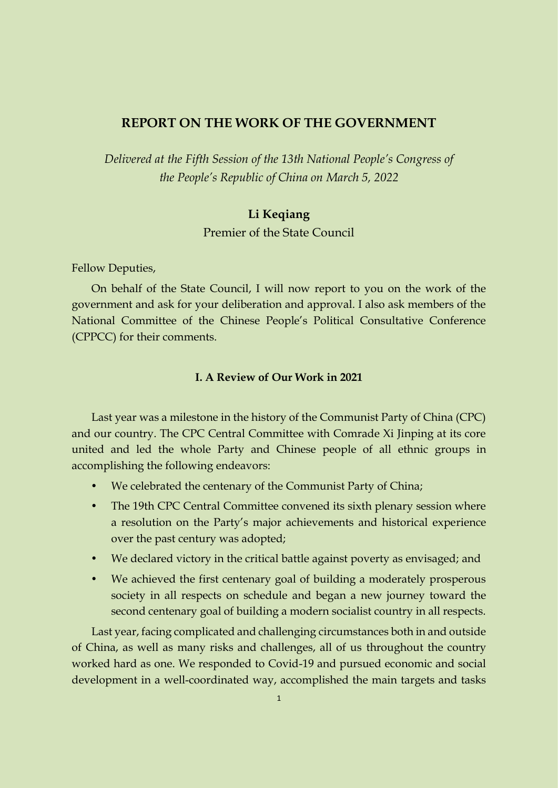#### **REPORT ON THE WORK OF THE GOVERNMENT**

*Delivered at the Fifth Session of the 13th National People's Congress of the People's Republic of China on March 5, 2022*

# **Li Keqiang**

Premier of the State Council

Fellow Deputies,

On behalf of the State Council, I will now report to you on the work of the government and ask for your deliberation and approval. I also ask members of the National Committee of the Chinese People's Political Consultative Conference (CPPCC) for their comments.

#### **I. A Review of Our Work in 2021**

Last year was a milestone in the history of the Communist Party of China (CPC) and our country. The CPC Central Committee with Comrade Xi Jinping at its core united and led the whole Party and Chinese people of all ethnic groups in accomplishing the following endeavors:

- We celebrated the centenary of the Communist Party of China;
- The 19th CPC Central Committee convened its sixth plenary session where a resolution on the Party's major achievements and historical experience over the past century was adopted;
- We declared victory in the critical battle against poverty as envisaged; and
- We achieved the first centenary goal of building a moderately prosperous society in all respects on schedule and began a new journey toward the second centenary goal of building a modern socialist country in all respects.

Last year, facing complicated and challenging circumstances both in and outside of China, as well as many risks and challenges, all of us throughout the country worked hard as one. We responded to Covid-19 and pursued economic and social development in a well-coordinated way, accomplished the main targets and tasks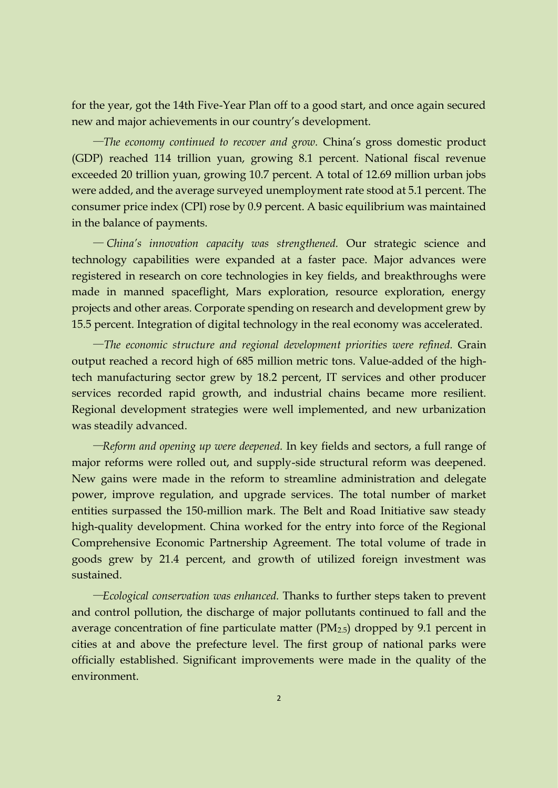for the year, got the 14th Five-Year Plan off to a good start, and once again secured new and major achievements in our country's development.

—*The economy continued to recover and grow.* China's gross domestic product (GDP) reached 114 trillion yuan, growing 8.1 percent. National fiscal revenue exceeded 20 trillion yuan, growing 10.7 percent. A total of 12.69 million urban jobs were added, and the average surveyed unemployment rate stood at 5.1 percent. The consumer price index (CPI) rose by 0.9 percent. A basic equilibrium was maintained in the balance of payments.

— *China's innovation capacity was strengthened.* Our strategic science and technology capabilities were expanded at a faster pace. Major advances were registered in research on core technologies in key fields, and breakthroughs were made in manned spaceflight, Mars exploration, resource exploration, energy projects and other areas. Corporate spending on research and development grew by 15.5 percent. Integration of digital technology in the real economy was accelerated.

—*The economic structure and regional development priorities were refined.* Grain output reached a record high of 685 million metric tons. Value-added of the hightech manufacturing sector grew by 18.2 percent, IT services and other producer services recorded rapid growth, and industrial chains became more resilient. Regional development strategies were well implemented, and new urbanization was steadily advanced.

—*Reform and opening up were deepened.* In key fields and sectors, a full range of major reforms were rolled out, and supply-side structural reform was deepened. New gains were made in the reform to streamline administration and delegate power, improve regulation, and upgrade services. The total number of market entities surpassed the 150-million mark. The Belt and Road Initiative saw steady high-quality development. China worked for the entry into force of the Regional Comprehensive Economic Partnership Agreement. The total volume of trade in goods grew by 21.4 percent, and growth of utilized foreign investment was sustained.

—*Ecological conservation was enhanced.* Thanks to further steps taken to prevent and control pollution, the discharge of major pollutants continued to fall and the average concentration of fine particulate matter  $(PM_{2.5})$  dropped by 9.1 percent in cities at and above the prefecture level. The first group of national parks were officially established. Significant improvements were made in the quality of the environment.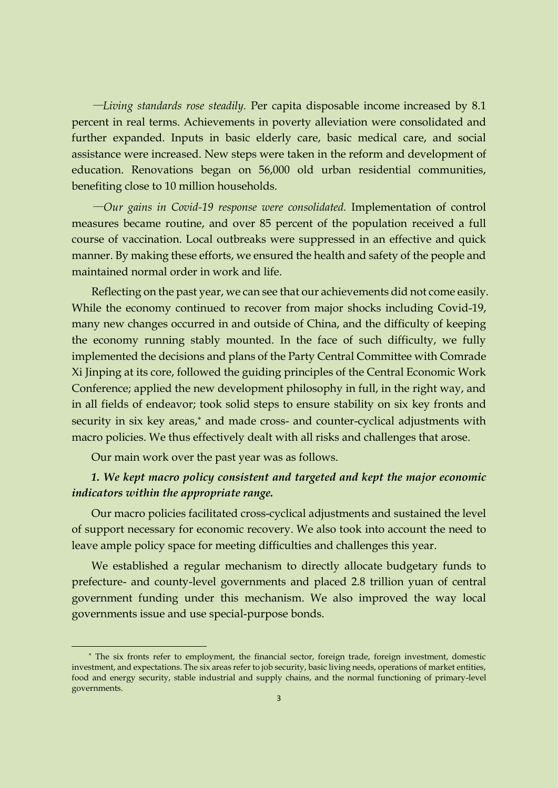—*Living standards rose steadily.* Per capita disposable income increased by 8.1 percent in real terms. Achievements in poverty alleviation were consolidated and further expanded. Inputs in basic elderly care, basic medical care, and social assistance were increased. New steps were taken in the reform and development of education. Renovations began on 56,000 old urban residential communities, benefiting close to 10 million households.

—*Our gains in Covid-19 response were consolidated.* Implementation of control measures became routine, and over 85 percent of the population received a full course of vaccination. Local outbreaks were suppressed in an effective and quick manner. By making these efforts, we ensured the health and safety of the people and maintained normal order in work and life.

Reflecting on the past year, we can see that our achievements did not come easily. While the economy continued to recover from major shocks including Covid-19, many new changes occurred in and outside of China, and the difficulty of keeping the economy running stably mounted. In the face of such difficulty, we fully implemented the decisions and plans of the Party Central Committee with Comrade Xi Jinping at its core, followed the guiding principles of the Central Economic Work Conference; applied the new development philosophy in full, in the right way, and in all fields of endeavor; took solid steps to ensure stability on six key fronts and security in six key areas,\* and made cross- and counter-cyclical adjustments with macro policies. We thus effectively dealt with all risks and challenges that arose.

Our main work over the past year was as follows.

#### *1. We kept macro policy consistent and targeted and kept the major economic indicators within the appropriate range.*

Our macro policies facilitated cross-cyclical adjustments and sustained the level of support necessary for economic recovery. We also took into account the need to leave ample policy space for meeting difficulties and challenges this year.

We established a regular mechanism to directly allocate budgetary funds to prefecture- and county-level governments and placed 2.8 trillion yuan of central government funding under this mechanism. We also improved the way local governments issue and use special-purpose bonds.

The six fronts refer to employment, the financial sector, foreign trade, foreign investment, domestic investment, and expectations. The six areas refer to job security, basic living needs, operations of market entities, food and energy security, stable industrial and supply chains, and the normal functioning of primary-level governments.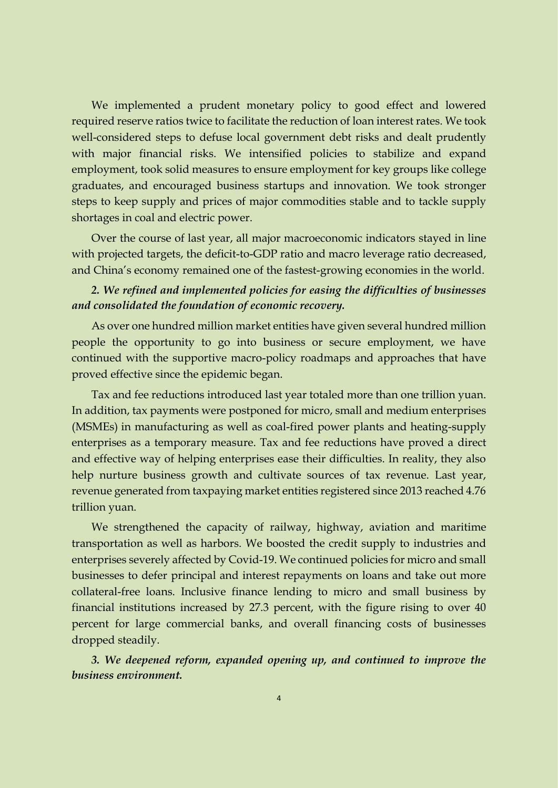We implemented a prudent monetary policy to good effect and lowered required reserve ratios twice to facilitate the reduction of loan interest rates. We took well-considered steps to defuse local government debt risks and dealt prudently with major financial risks. We intensified policies to stabilize and expand employment, took solid measures to ensure employment for key groups like college graduates, and encouraged business startups and innovation. We took stronger steps to keep supply and prices of major commodities stable and to tackle supply shortages in coal and electric power.

Over the course of last year, all major macroeconomic indicators stayed in line with projected targets, the deficit-to-GDP ratio and macro leverage ratio decreased, and China's economy remained one of the fastest-growing economies in the world.

## *2. We refined and implemented policies for easing the difficulties of businesses and consolidated the foundation of economic recovery.*

As over one hundred million market entities have given several hundred million people the opportunity to go into business or secure employment, we have continued with the supportive macro-policy roadmaps and approaches that have proved effective since the epidemic began.

Tax and fee reductions introduced last year totaled more than one trillion yuan. In addition, tax payments were postponed for micro, small and medium enterprises (MSMEs) in manufacturing as well as coal-fired power plants and heating-supply enterprises as a temporary measure. Tax and fee reductions have proved a direct and effective way of helping enterprises ease their difficulties. In reality, they also help nurture business growth and cultivate sources of tax revenue. Last year, revenue generated from taxpaying market entities registered since 2013 reached 4.76 trillion yuan.

We strengthened the capacity of railway, highway, aviation and maritime transportation as well as harbors. We boosted the credit supply to industries and enterprises severely affected by Covid-19. We continued policies for micro and small businesses to defer principal and interest repayments on loans and take out more collateral-free loans. Inclusive finance lending to micro and small business by financial institutions increased by 27.3 percent, with the figure rising to over 40 percent for large commercial banks, and overall financing costs of businesses dropped steadily.

*3. We deepened reform, expanded opening up, and continued to improve the business environment.*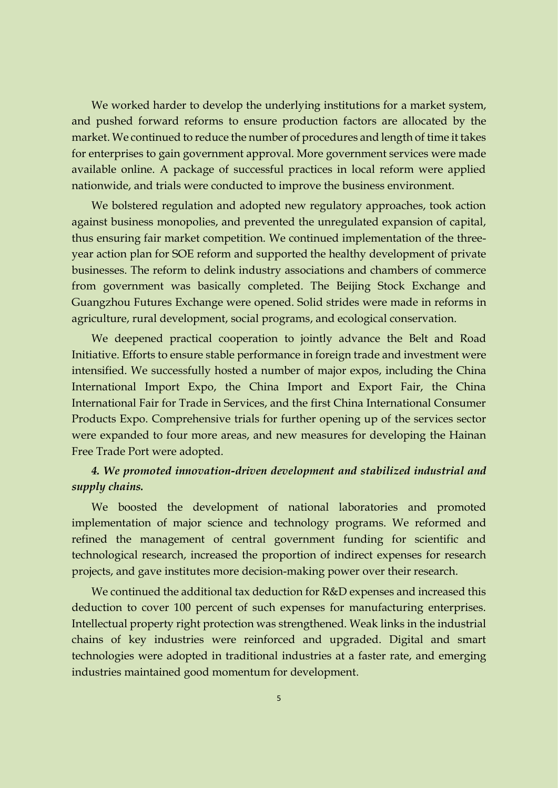We worked harder to develop the underlying institutions for a market system, and pushed forward reforms to ensure production factors are allocated by the market. We continued to reduce the number of procedures and length of time it takes for enterprises to gain government approval. More government services were made available online. A package of successful practices in local reform were applied nationwide, and trials were conducted to improve the business environment.

We bolstered regulation and adopted new regulatory approaches, took action against business monopolies, and prevented the unregulated expansion of capital, thus ensuring fair market competition. We continued implementation of the threeyear action plan for SOE reform and supported the healthy development of private businesses. The reform to delink industry associations and chambers of commerce from government was basically completed. The Beijing Stock Exchange and Guangzhou Futures Exchange were opened. Solid strides were made in reforms in agriculture, rural development, social programs, and ecological conservation.

We deepened practical cooperation to jointly advance the Belt and Road Initiative. Efforts to ensure stable performance in foreign trade and investment were intensified. We successfully hosted a number of major expos, including the China International Import Expo, the China Import and Export Fair, the China International Fair for Trade in Services, and the first China International Consumer Products Expo. Comprehensive trials for further opening up of the services sector were expanded to four more areas, and new measures for developing the Hainan Free Trade Port were adopted.

#### *4. We promoted innovation-driven development and stabilized industrial and supply chains.*

We boosted the development of national laboratories and promoted implementation of major science and technology programs. We reformed and refined the management of central government funding for scientific and technological research, increased the proportion of indirect expenses for research projects, and gave institutes more decision-making power over their research.

We continued the additional tax deduction for R&D expenses and increased this deduction to cover 100 percent of such expenses for manufacturing enterprises. Intellectual property right protection was strengthened. Weak links in the industrial chains of key industries were reinforced and upgraded. Digital and smart technologies were adopted in traditional industries at a faster rate, and emerging industries maintained good momentum for development.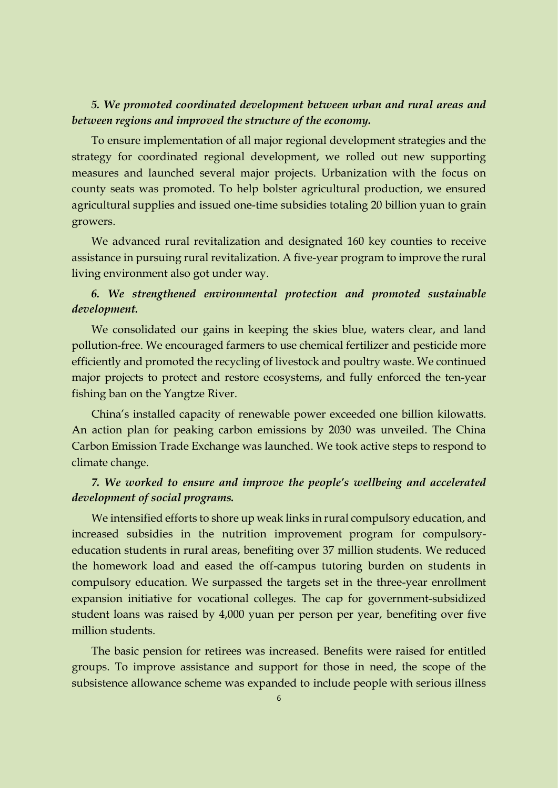#### *5. We promoted coordinated development between urban and rural areas and between regions and improved the structure of the economy.*

To ensure implementation of all major regional development strategies and the strategy for coordinated regional development, we rolled out new supporting measures and launched several major projects. Urbanization with the focus on county seats was promoted. To help bolster agricultural production, we ensured agricultural supplies and issued one-time subsidies totaling 20 billion yuan to grain growers.

We advanced rural revitalization and designated 160 key counties to receive assistance in pursuing rural revitalization. A five-year program to improve the rural living environment also got under way.

# *6. We strengthened environmental protection and promoted sustainable development.*

We consolidated our gains in keeping the skies blue, waters clear, and land pollution-free. We encouraged farmers to use chemical fertilizer and pesticide more efficiently and promoted the recycling of livestock and poultry waste. We continued major projects to protect and restore ecosystems, and fully enforced the ten-year fishing ban on the Yangtze River.

China's installed capacity of renewable power exceeded one billion kilowatts. An action plan for peaking carbon emissions by 2030 was unveiled. The China Carbon Emission Trade Exchange was launched. We took active steps to respond to climate change.

### *7. We worked to ensure and improve the people's wellbeing and accelerated development of social programs.*

We intensified efforts to shore up weak links in rural compulsory education, and increased subsidies in the nutrition improvement program for compulsoryeducation students in rural areas, benefiting over 37 million students. We reduced the homework load and eased the off-campus tutoring burden on students in compulsory education. We surpassed the targets set in the three-year enrollment expansion initiative for vocational colleges. The cap for government-subsidized student loans was raised by 4,000 yuan per person per year, benefiting over five million students.

The basic pension for retirees was increased. Benefits were raised for entitled groups. To improve assistance and support for those in need, the scope of the subsistence allowance scheme was expanded to include people with serious illness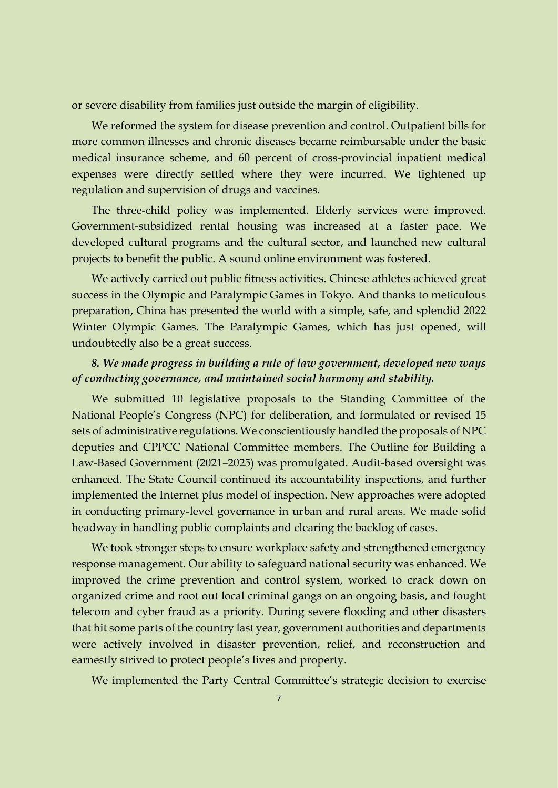or severe disability from families just outside the margin of eligibility.

We reformed the system for disease prevention and control. Outpatient bills for more common illnesses and chronic diseases became reimbursable under the basic medical insurance scheme, and 60 percent of cross-provincial inpatient medical expenses were directly settled where they were incurred. We tightened up regulation and supervision of drugs and vaccines.

The three-child policy was implemented. Elderly services were improved. Government-subsidized rental housing was increased at a faster pace. We developed cultural programs and the cultural sector, and launched new cultural projects to benefit the public. A sound online environment was fostered.

We actively carried out public fitness activities. Chinese athletes achieved great success in the Olympic and Paralympic Games in Tokyo. And thanks to meticulous preparation, China has presented the world with a simple, safe, and splendid 2022 Winter Olympic Games. The Paralympic Games, which has just opened, will undoubtedly also be a great success.

## *8. We made progress in building a rule of law government, developed new ways of conducting governance, and maintained social harmony and stability.*

We submitted 10 legislative proposals to the Standing Committee of the National People's Congress (NPC) for deliberation, and formulated or revised 15 sets of administrative regulations. We conscientiously handled the proposals of NPC deputies and CPPCC National Committee members. The Outline for Building a Law-Based Government (2021–2025) was promulgated. Audit-based oversight was enhanced. The State Council continued its accountability inspections, and further implemented the Internet plus model of inspection. New approaches were adopted in conducting primary-level governance in urban and rural areas. We made solid headway in handling public complaints and clearing the backlog of cases.

We took stronger steps to ensure workplace safety and strengthened emergency response management. Our ability to safeguard national security was enhanced. We improved the crime prevention and control system, worked to crack down on organized crime and root out local criminal gangs on an ongoing basis, and fought telecom and cyber fraud as a priority. During severe flooding and other disasters that hit some parts of the country last year, government authorities and departments were actively involved in disaster prevention, relief, and reconstruction and earnestly strived to protect people's lives and property.

We implemented the Party Central Committee's strategic decision to exercise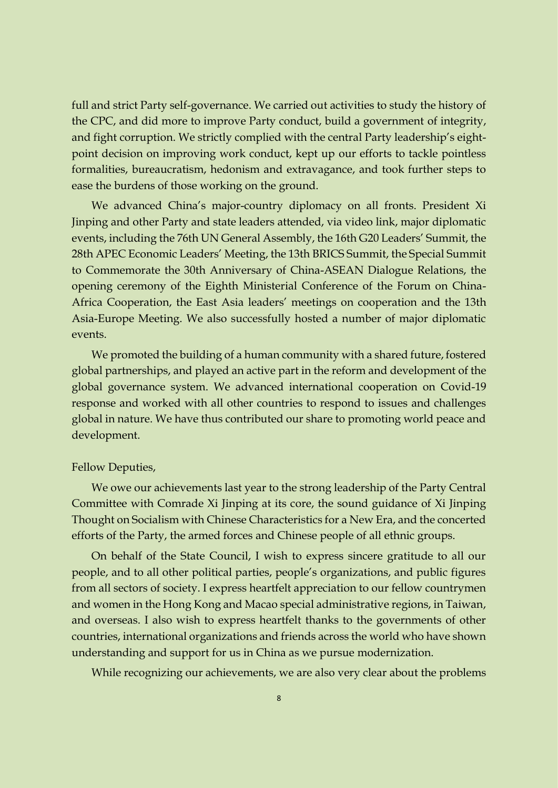full and strict Party self-governance. We carried out activities to study the history of the CPC, and did more to improve Party conduct, build a government of integrity, and fight corruption. We strictly complied with the central Party leadership's eightpoint decision on improving work conduct, kept up our efforts to tackle pointless formalities, bureaucratism, hedonism and extravagance, and took further steps to ease the burdens of those working on the ground.

We advanced China's major-country diplomacy on all fronts. President Xi Jinping and other Party and state leaders attended, via video link, major diplomatic events, including the 76th UN General Assembly, the 16th G20 Leaders' Summit, the 28th APEC Economic Leaders' Meeting, the 13th BRICS Summit, the Special Summit to Commemorate the 30th Anniversary of China-ASEAN Dialogue Relations, the opening ceremony of the Eighth Ministerial Conference of the Forum on China-Africa Cooperation, the East Asia leaders' meetings on cooperation and the 13th Asia-Europe Meeting. We also successfully hosted a number of major diplomatic events.

We promoted the building of a human community with a shared future, fostered global partnerships, and played an active part in the reform and development of the global governance system. We advanced international cooperation on Covid-19 response and worked with all other countries to respond to issues and challenges global in nature. We have thus contributed our share to promoting world peace and development.

#### Fellow Deputies,

We owe our achievements last year to the strong leadership of the Party Central Committee with Comrade Xi Jinping at its core, the sound guidance of Xi Jinping Thought on Socialism with Chinese Characteristics for a New Era, and the concerted efforts of the Party, the armed forces and Chinese people of all ethnic groups.

On behalf of the State Council, I wish to express sincere gratitude to all our people, and to all other political parties, people's organizations, and public figures from all sectors of society. I express heartfelt appreciation to our fellow countrymen and women in the Hong Kong and Macao special administrative regions, in Taiwan, and overseas. I also wish to express heartfelt thanks to the governments of other countries, international organizations and friends across the world who have shown understanding and support for us in China as we pursue modernization.

While recognizing our achievements, we are also very clear about the problems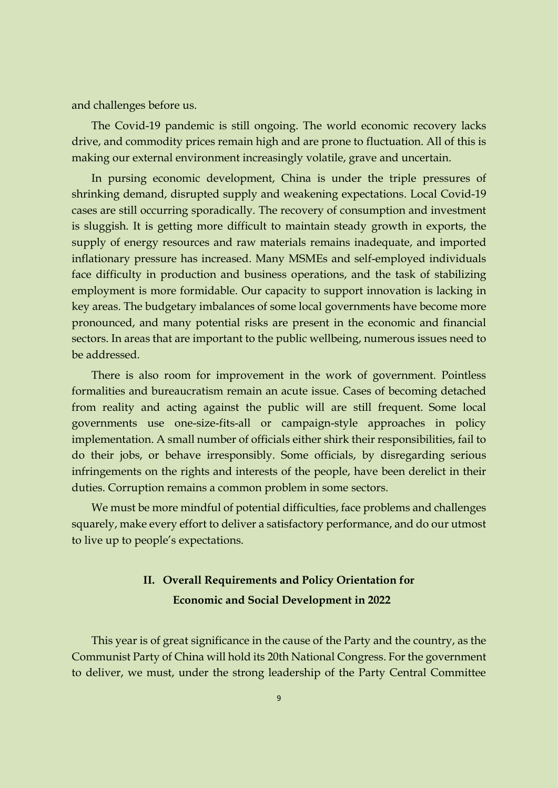and challenges before us.

The Covid-19 pandemic is still ongoing. The world economic recovery lacks drive, and commodity prices remain high and are prone to fluctuation. All of this is making our external environment increasingly volatile, grave and uncertain.

In pursing economic development, China is under the triple pressures of shrinking demand, disrupted supply and weakening expectations. Local Covid-19 cases are still occurring sporadically. The recovery of consumption and investment is sluggish. It is getting more difficult to maintain steady growth in exports, the supply of energy resources and raw materials remains inadequate, and imported inflationary pressure has increased. Many MSMEs and self-employed individuals face difficulty in production and business operations, and the task of stabilizing employment is more formidable. Our capacity to support innovation is lacking in key areas. The budgetary imbalances of some local governments have become more pronounced, and many potential risks are present in the economic and financial sectors. In areas that are important to the public wellbeing, numerous issues need to be addressed.

There is also room for improvement in the work of government. Pointless formalities and bureaucratism remain an acute issue. Cases of becoming detached from reality and acting against the public will are still frequent. Some local governments use one-size-fits-all or campaign-style approaches in policy implementation. A small number of officials either shirk their responsibilities, fail to do their jobs, or behave irresponsibly. Some officials, by disregarding serious infringements on the rights and interests of the people, have been derelict in their duties. Corruption remains a common problem in some sectors.

We must be more mindful of potential difficulties, face problems and challenges squarely, make every effort to deliver a satisfactory performance, and do our utmost to live up to people's expectations.

# **II. Overall Requirements and Policy Orientation for Economic and Social Development in 2022**

This year is of great significance in the cause of the Party and the country, as the Communist Party of China will hold its 20th National Congress. For the government to deliver, we must, under the strong leadership of the Party Central Committee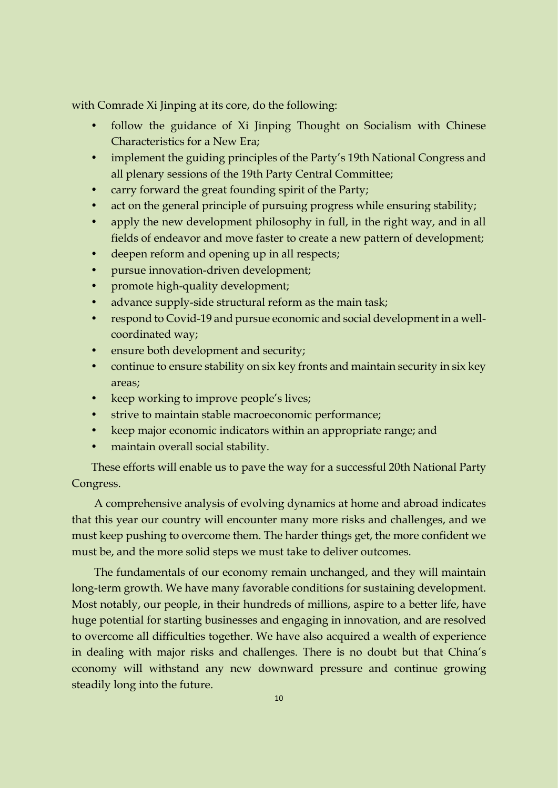with Comrade Xi Jinping at its core, do the following:

- follow the guidance of Xi Jinping Thought on Socialism with Chinese Characteristics for a New Era;
- implement the guiding principles of the Party's 19th National Congress and all plenary sessions of the 19th Party Central Committee;
- carry forward the great founding spirit of the Party;
- act on the general principle of pursuing progress while ensuring stability;
- apply the new development philosophy in full, in the right way, and in all fields of endeavor and move faster to create a new pattern of development;
- deepen reform and opening up in all respects;
- pursue innovation-driven development;
- promote high-quality development;
- advance supply-side structural reform as the main task;
- respond to Covid-19 and pursue economic and social development in a wellcoordinated way;
- ensure both development and security;
- continue to ensure stability on six key fronts and maintain security in six key areas;
- keep working to improve people's lives;
- strive to maintain stable macroeconomic performance;
- keep major economic indicators within an appropriate range; and
- maintain overall social stability.

These efforts will enable us to pave the way for a successful 20th National Party Congress.

A comprehensive analysis of evolving dynamics at home and abroad indicates that this year our country will encounter many more risks and challenges, and we must keep pushing to overcome them. The harder things get, the more confident we must be, and the more solid steps we must take to deliver outcomes.

The fundamentals of our economy remain unchanged, and they will maintain long-term growth. We have many favorable conditions for sustaining development. Most notably, our people, in their hundreds of millions, aspire to a better life, have huge potential for starting businesses and engaging in innovation, and are resolved to overcome all difficulties together. We have also acquired a wealth of experience in dealing with major risks and challenges. There is no doubt but that China's economy will withstand any new downward pressure and continue growing steadily long into the future.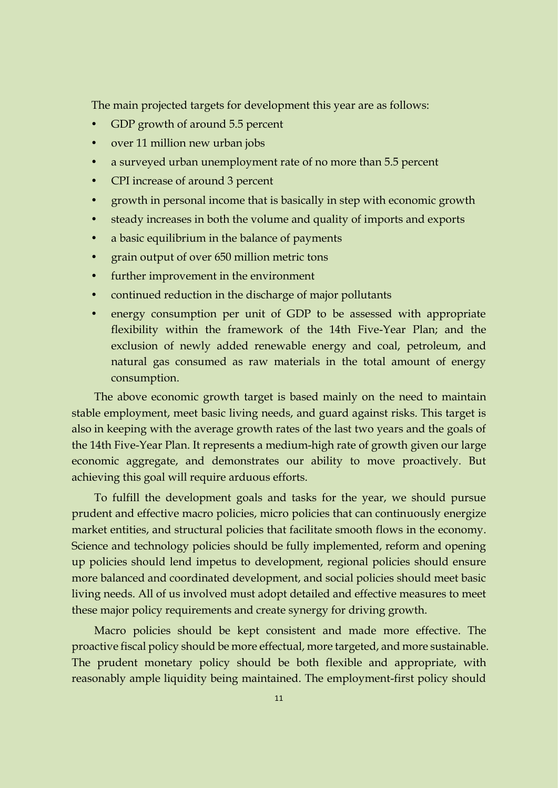The main projected targets for development this year are as follows:

- GDP growth of around 5.5 percent
- over 11 million new urban jobs
- a surveyed urban unemployment rate of no more than 5.5 percent
- CPI increase of around 3 percent
- growth in personal income that is basically in step with economic growth
- steady increases in both the volume and quality of imports and exports
- a basic equilibrium in the balance of payments
- grain output of over 650 million metric tons
- further improvement in the environment
- continued reduction in the discharge of major pollutants
- energy consumption per unit of GDP to be assessed with appropriate flexibility within the framework of the 14th Five-Year Plan; and the exclusion of newly added renewable energy and coal, petroleum, and natural gas consumed as raw materials in the total amount of energy consumption.

The above economic growth target is based mainly on the need to maintain stable employment, meet basic living needs, and guard against risks. This target is also in keeping with the average growth rates of the last two years and the goals of the 14th Five-Year Plan. It represents a medium-high rate of growth given our large economic aggregate, and demonstrates our ability to move proactively. But achieving this goal will require arduous efforts.

To fulfill the development goals and tasks for the year, we should pursue prudent and effective macro policies, micro policies that can continuously energize market entities, and structural policies that facilitate smooth flows in the economy. Science and technology policies should be fully implemented, reform and opening up policies should lend impetus to development, regional policies should ensure more balanced and coordinated development, and social policies should meet basic living needs. All of us involved must adopt detailed and effective measures to meet these major policy requirements and create synergy for driving growth.

Macro policies should be kept consistent and made more effective. The proactive fiscal policy should be more effectual, more targeted, and more sustainable. The prudent monetary policy should be both flexible and appropriate, with reasonably ample liquidity being maintained. The employment-first policy should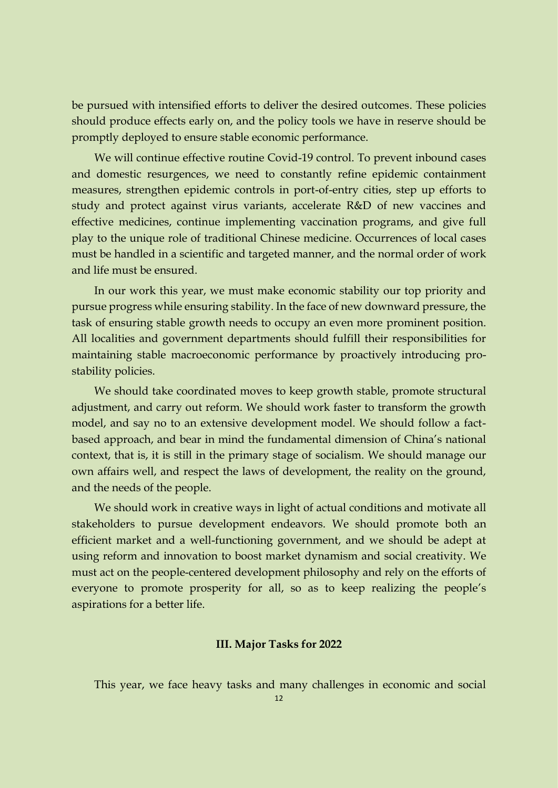be pursued with intensified efforts to deliver the desired outcomes. These policies should produce effects early on, and the policy tools we have in reserve should be promptly deployed to ensure stable economic performance.

We will continue effective routine Covid-19 control. To prevent inbound cases and domestic resurgences, we need to constantly refine epidemic containment measures, strengthen epidemic controls in port-of-entry cities, step up efforts to study and protect against virus variants, accelerate R&D of new vaccines and effective medicines, continue implementing vaccination programs, and give full play to the unique role of traditional Chinese medicine. Occurrences of local cases must be handled in a scientific and targeted manner, and the normal order of work and life must be ensured.

In our work this year, we must make economic stability our top priority and pursue progress while ensuring stability. In the face of new downward pressure, the task of ensuring stable growth needs to occupy an even more prominent position. All localities and government departments should fulfill their responsibilities for maintaining stable macroeconomic performance by proactively introducing prostability policies.

We should take coordinated moves to keep growth stable, promote structural adjustment, and carry out reform. We should work faster to transform the growth model, and say no to an extensive development model. We should follow a factbased approach, and bear in mind the fundamental dimension of China's national context, that is, it is still in the primary stage of socialism. We should manage our own affairs well, and respect the laws of development, the reality on the ground, and the needs of the people.

We should work in creative ways in light of actual conditions and motivate all stakeholders to pursue development endeavors. We should promote both an efficient market and a well-functioning government, and we should be adept at using reform and innovation to boost market dynamism and social creativity. We must act on the people-centered development philosophy and rely on the efforts of everyone to promote prosperity for all, so as to keep realizing the people's aspirations for a better life.

#### **III. Major Tasks for 2022**

This year, we face heavy tasks and many challenges in economic and social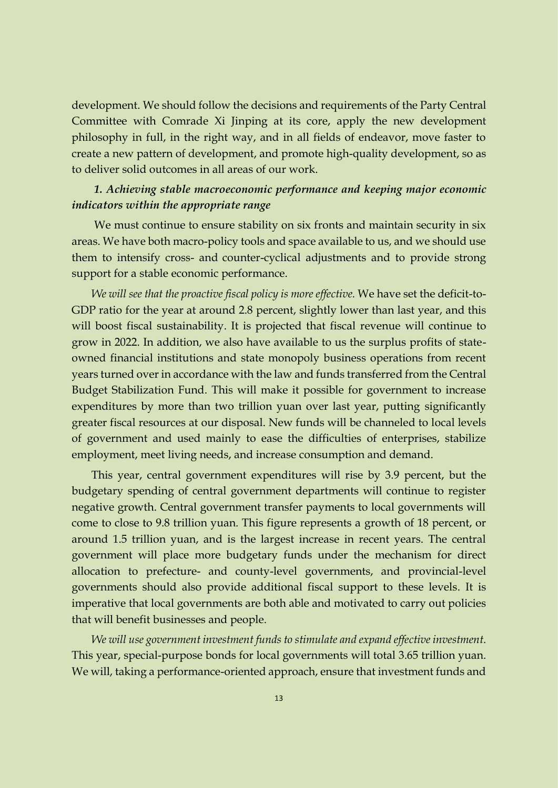development. We should follow the decisions and requirements of the Party Central Committee with Comrade Xi Jinping at its core, apply the new development philosophy in full, in the right way, and in all fields of endeavor, move faster to create a new pattern of development, and promote high-quality development, so as to deliver solid outcomes in all areas of our work.

#### *1. Achieving stable macroeconomic performance and keeping major economic indicators within the appropriate range*

We must continue to ensure stability on six fronts and maintain security in six areas. We have both macro-policy tools and space available to us, and we should use them to intensify cross- and counter-cyclical adjustments and to provide strong support for a stable economic performance.

*We will see that the proactive fiscal policy is more effective.* We have set the deficit-to-GDP ratio for the year at around 2.8 percent, slightly lower than last year, and this will boost fiscal sustainability. It is projected that fiscal revenue will continue to grow in 2022. In addition, we also have available to us the surplus profits of stateowned financial institutions and state monopoly business operations from recent years turned over in accordance with the law and funds transferred from the Central Budget Stabilization Fund. This will make it possible for government to increase expenditures by more than two trillion yuan over last year, putting significantly greater fiscal resources at our disposal. New funds will be channeled to local levels of government and used mainly to ease the difficulties of enterprises, stabilize employment, meet living needs, and increase consumption and demand.

This year, central government expenditures will rise by 3.9 percent, but the budgetary spending of central government departments will continue to register negative growth. Central government transfer payments to local governments will come to close to 9.8 trillion yuan. This figure represents a growth of 18 percent, or around 1.5 trillion yuan, and is the largest increase in recent years. The central government will place more budgetary funds under the mechanism for direct allocation to prefecture- and county-level governments, and provincial-level governments should also provide additional fiscal support to these levels. It is imperative that local governments are both able and motivated to carry out policies that will benefit businesses and people.

*We will use government investment funds to stimulate and expand effective investment.*  This year, special-purpose bonds for local governments will total 3.65 trillion yuan. We will, taking a performance-oriented approach, ensure that investment funds and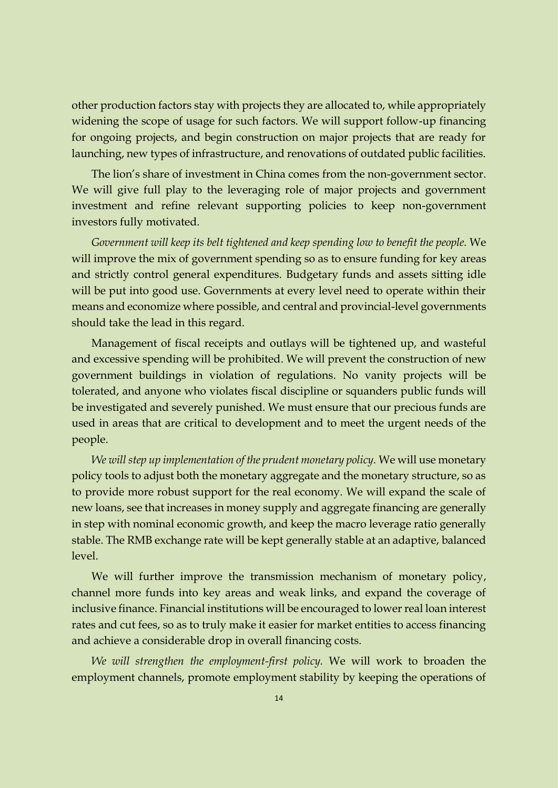other production factors stay with projects they are allocated to, while appropriately widening the scope of usage for such factors. We will support follow-up financing for ongoing projects, and begin construction on major projects that are ready for launching, new types of infrastructure, and renovations of outdated public facilities.

The lion's share of investment in China comes from the non-government sector. We will give full play to the leveraging role of major projects and government investment and refine relevant supporting policies to keep non-government investors fully motivated.

*Government will keep its belt tightened and keep spending low to benefit the people.* We will improve the mix of government spending so as to ensure funding for key areas and strictly control general expenditures. Budgetary funds and assets sitting idle will be put into good use. Governments at every level need to operate within their means and economize where possible, and central and provincial-level governments should take the lead in this regard.

Management of fiscal receipts and outlays will be tightened up, and wasteful and excessive spending will be prohibited. We will prevent the construction of new government buildings in violation of regulations. No vanity projects will be tolerated, and anyone who violates fiscal discipline or squanders public funds will be investigated and severely punished. We must ensure that our precious funds are used in areas that are critical to development and to meet the urgent needs of the people.

*We will step up implementation of the prudent monetary policy.* We will use monetary policy tools to adjust both the monetary aggregate and the monetary structure, so as to provide more robust support for the real economy. We will expand the scale of new loans, see that increases in money supply and aggregate financing are generally in step with nominal economic growth, and keep the macro leverage ratio generally stable. The RMB exchange rate will be kept generally stable at an adaptive, balanced level.

We will further improve the transmission mechanism of monetary policy, channel more funds into key areas and weak links, and expand the coverage of inclusive finance. Financial institutions will be encouraged to lower real loan interest rates and cut fees, so as to truly make it easier for market entities to access financing and achieve a considerable drop in overall financing costs.

*We will strengthen the employment-first policy.* We will work to broaden the employment channels, promote employment stability by keeping the operations of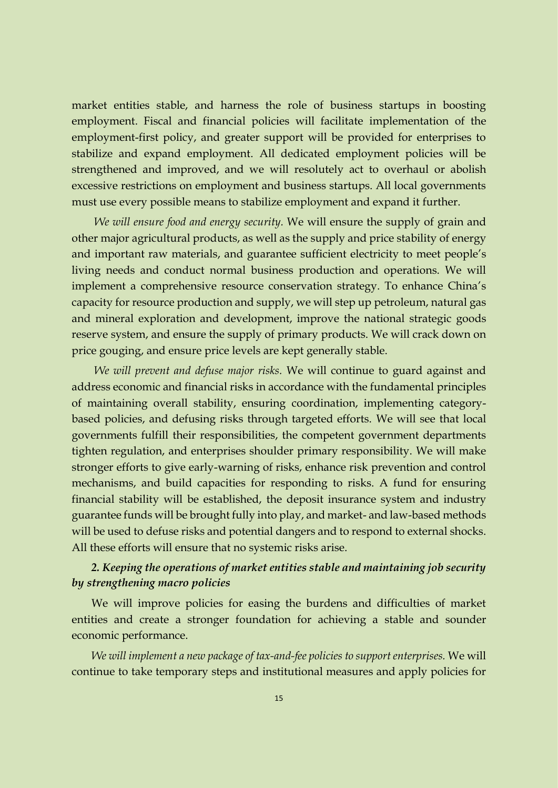market entities stable, and harness the role of business startups in boosting employment. Fiscal and financial policies will facilitate implementation of the employment-first policy, and greater support will be provided for enterprises to stabilize and expand employment. All dedicated employment policies will be strengthened and improved, and we will resolutely act to overhaul or abolish excessive restrictions on employment and business startups. All local governments must use every possible means to stabilize employment and expand it further.

*We will ensure food and energy security.* We will ensure the supply of grain and other major agricultural products, as well as the supply and price stability of energy and important raw materials, and guarantee sufficient electricity to meet people's living needs and conduct normal business production and operations. We will implement a comprehensive resource conservation strategy. To enhance China's capacity for resource production and supply, we will step up petroleum, natural gas and mineral exploration and development, improve the national strategic goods reserve system, and ensure the supply of primary products. We will crack down on price gouging, and ensure price levels are kept generally stable.

*We will prevent and defuse major risks.* We will continue to guard against and address economic and financial risks in accordance with the fundamental principles of maintaining overall stability, ensuring coordination, implementing categorybased policies, and defusing risks through targeted efforts. We will see that local governments fulfill their responsibilities, the competent government departments tighten regulation, and enterprises shoulder primary responsibility. We will make stronger efforts to give early-warning of risks, enhance risk prevention and control mechanisms, and build capacities for responding to risks. A fund for ensuring financial stability will be established, the deposit insurance system and industry guarantee funds will be brought fully into play, and market- and law-based methods will be used to defuse risks and potential dangers and to respond to external shocks. All these efforts will ensure that no systemic risks arise.

### *2. Keeping the operations of market entities stable and maintaining job security by strengthening macro policies*

We will improve policies for easing the burdens and difficulties of market entities and create a stronger foundation for achieving a stable and sounder economic performance.

*We will implement a new package of tax-and-fee policies to support enterprises.* We will continue to take temporary steps and institutional measures and apply policies for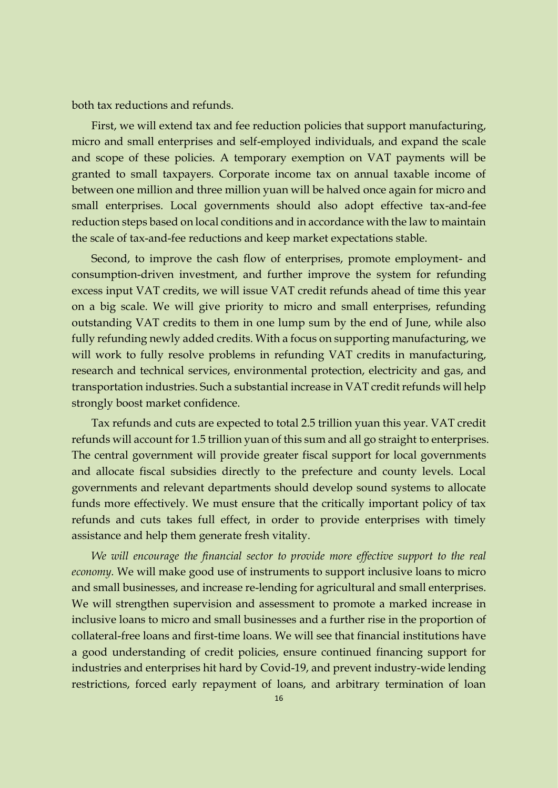both tax reductions and refunds.

First, we will extend tax and fee reduction policies that support manufacturing, micro and small enterprises and self-employed individuals, and expand the scale and scope of these policies. A temporary exemption on VAT payments will be granted to small taxpayers. Corporate income tax on annual taxable income of between one million and three million yuan will be halved once again for micro and small enterprises. Local governments should also adopt effective tax-and-fee reduction steps based on local conditions and in accordance with the law to maintain the scale of tax-and-fee reductions and keep market expectations stable.

Second, to improve the cash flow of enterprises, promote employment- and consumption-driven investment, and further improve the system for refunding excess input VAT credits, we will issue VAT credit refunds ahead of time this year on a big scale. We will give priority to micro and small enterprises, refunding outstanding VAT credits to them in one lump sum by the end of June, while also fully refunding newly added credits. With a focus on supporting manufacturing, we will work to fully resolve problems in refunding VAT credits in manufacturing, research and technical services, environmental protection, electricity and gas, and transportation industries. Such a substantial increase in VAT credit refunds will help strongly boost market confidence.

Tax refunds and cuts are expected to total 2.5 trillion yuan this year. VAT credit refunds will account for 1.5 trillion yuan of this sum and all go straight to enterprises. The central government will provide greater fiscal support for local governments and allocate fiscal subsidies directly to the prefecture and county levels. Local governments and relevant departments should develop sound systems to allocate funds more effectively. We must ensure that the critically important policy of tax refunds and cuts takes full effect, in order to provide enterprises with timely assistance and help them generate fresh vitality.

*We will encourage the financial sector to provide more effective support to the real economy.* We will make good use of instruments to support inclusive loans to micro and small businesses, and increase re-lending for agricultural and small enterprises. We will strengthen supervision and assessment to promote a marked increase in inclusive loans to micro and small businesses and a further rise in the proportion of collateral-free loans and first-time loans. We will see that financial institutions have a good understanding of credit policies, ensure continued financing support for industries and enterprises hit hard by Covid-19, and prevent industry-wide lending restrictions, forced early repayment of loans, and arbitrary termination of loan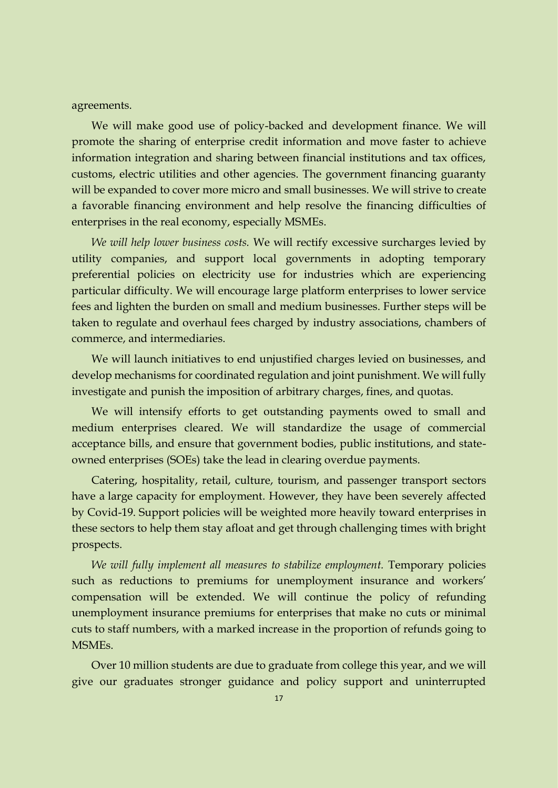agreements.

We will make good use of policy-backed and development finance. We will promote the sharing of enterprise credit information and move faster to achieve information integration and sharing between financial institutions and tax offices, customs, electric utilities and other agencies. The government financing guaranty will be expanded to cover more micro and small businesses. We will strive to create a favorable financing environment and help resolve the financing difficulties of enterprises in the real economy, especially MSMEs.

*We will help lower business costs.* We will rectify excessive surcharges levied by utility companies, and support local governments in adopting temporary preferential policies on electricity use for industries which are experiencing particular difficulty. We will encourage large platform enterprises to lower service fees and lighten the burden on small and medium businesses. Further steps will be taken to regulate and overhaul fees charged by industry associations, chambers of commerce, and intermediaries.

We will launch initiatives to end unjustified charges levied on businesses, and develop mechanisms for coordinated regulation and joint punishment. We will fully investigate and punish the imposition of arbitrary charges, fines, and quotas.

We will intensify efforts to get outstanding payments owed to small and medium enterprises cleared. We will standardize the usage of commercial acceptance bills, and ensure that government bodies, public institutions, and stateowned enterprises (SOEs) take the lead in clearing overdue payments.

Catering, hospitality, retail, culture, tourism, and passenger transport sectors have a large capacity for employment. However, they have been severely affected by Covid-19. Support policies will be weighted more heavily toward enterprises in these sectors to help them stay afloat and get through challenging times with bright prospects.

*We will fully implement all measures to stabilize employment.* Temporary policies such as reductions to premiums for unemployment insurance and workers' compensation will be extended. We will continue the policy of refunding unemployment insurance premiums for enterprises that make no cuts or minimal cuts to staff numbers, with a marked increase in the proportion of refunds going to MSMEs.

Over 10 million students are due to graduate from college this year, and we will give our graduates stronger guidance and policy support and uninterrupted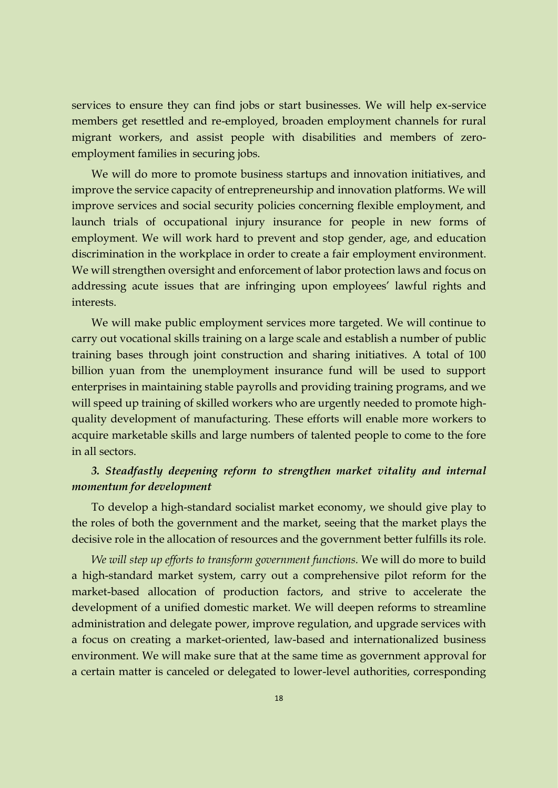services to ensure they can find jobs or start businesses. We will help ex-service members get resettled and re-employed, broaden employment channels for rural migrant workers, and assist people with disabilities and members of zeroemployment families in securing jobs.

We will do more to promote business startups and innovation initiatives, and improve the service capacity of entrepreneurship and innovation platforms. We will improve services and social security policies concerning flexible employment, and launch trials of occupational injury insurance for people in new forms of employment. We will work hard to prevent and stop gender, age, and education discrimination in the workplace in order to create a fair employment environment. We will strengthen oversight and enforcement of labor protection laws and focus on addressing acute issues that are infringing upon employees' lawful rights and interests.

We will make public employment services more targeted. We will continue to carry out vocational skills training on a large scale and establish a number of public training bases through joint construction and sharing initiatives. A total of 100 billion yuan from the unemployment insurance fund will be used to support enterprises in maintaining stable payrolls and providing training programs, and we will speed up training of skilled workers who are urgently needed to promote highquality development of manufacturing. These efforts will enable more workers to acquire marketable skills and large numbers of talented people to come to the fore in all sectors.

#### *3. Steadfastly deepening reform to strengthen market vitality and internal momentum for development*

To develop a high-standard socialist market economy, we should give play to the roles of both the government and the market, seeing that the market plays the decisive role in the allocation of resources and the government better fulfills its role.

*We will step up efforts to transform government functions.* We will do more to build a high-standard market system, carry out a comprehensive pilot reform for the market-based allocation of production factors, and strive to accelerate the development of a unified domestic market. We will deepen reforms to streamline administration and delegate power, improve regulation, and upgrade services with a focus on creating a market-oriented, law-based and internationalized business environment. We will make sure that at the same time as government approval for a certain matter is canceled or delegated to lower-level authorities, corresponding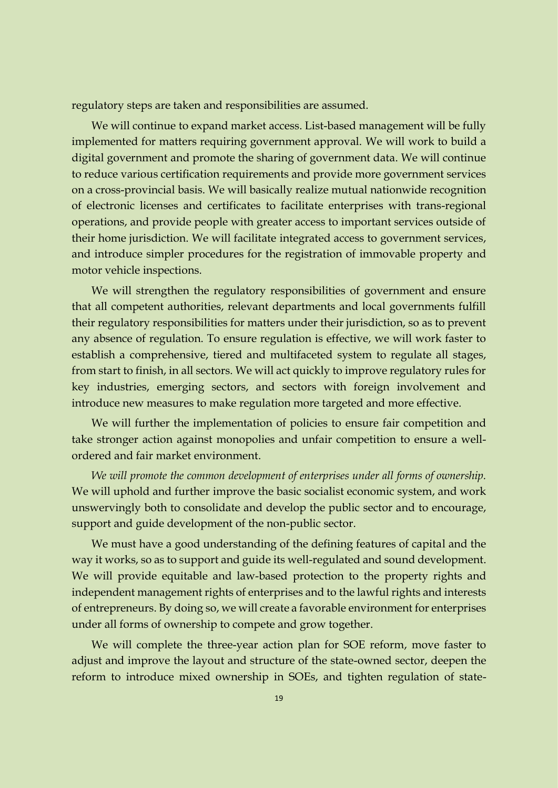regulatory steps are taken and responsibilities are assumed.

We will continue to expand market access. List-based management will be fully implemented for matters requiring government approval. We will work to build a digital government and promote the sharing of government data. We will continue to reduce various certification requirements and provide more government services on a cross-provincial basis. We will basically realize mutual nationwide recognition of electronic licenses and certificates to facilitate enterprises with trans-regional operations, and provide people with greater access to important services outside of their home jurisdiction. We will facilitate integrated access to government services, and introduce simpler procedures for the registration of immovable property and motor vehicle inspections.

We will strengthen the regulatory responsibilities of government and ensure that all competent authorities, relevant departments and local governments fulfill their regulatory responsibilities for matters under their jurisdiction, so as to prevent any absence of regulation. To ensure regulation is effective, we will work faster to establish a comprehensive, tiered and multifaceted system to regulate all stages, from start to finish, in all sectors. We will act quickly to improve regulatory rules for key industries, emerging sectors, and sectors with foreign involvement and introduce new measures to make regulation more targeted and more effective.

We will further the implementation of policies to ensure fair competition and take stronger action against monopolies and unfair competition to ensure a wellordered and fair market environment.

*We will promote the common development of enterprises under all forms of ownership.* We will uphold and further improve the basic socialist economic system, and work unswervingly both to consolidate and develop the public sector and to encourage, support and guide development of the non-public sector.

We must have a good understanding of the defining features of capital and the way it works, so as to support and guide its well-regulated and sound development. We will provide equitable and law-based protection to the property rights and independent management rights of enterprises and to the lawful rights and interests of entrepreneurs. By doing so, we will create a favorable environment for enterprises under all forms of ownership to compete and grow together.

We will complete the three-year action plan for SOE reform, move faster to adjust and improve the layout and structure of the state-owned sector, deepen the reform to introduce mixed ownership in SOEs, and tighten regulation of state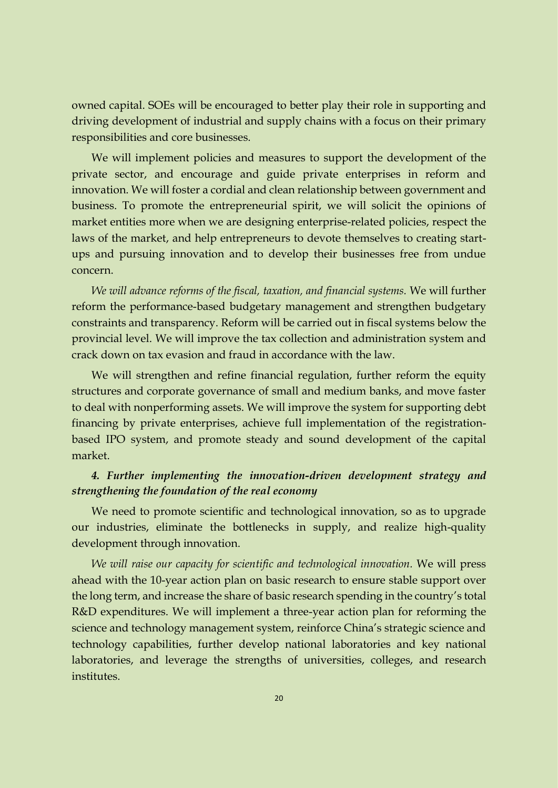owned capital. SOEs will be encouraged to better play their role in supporting and driving development of industrial and supply chains with a focus on their primary responsibilities and core businesses.

We will implement policies and measures to support the development of the private sector, and encourage and guide private enterprises in reform and innovation. We will foster a cordial and clean relationship between government and business. To promote the entrepreneurial spirit, we will solicit the opinions of market entities more when we are designing enterprise-related policies, respect the laws of the market, and help entrepreneurs to devote themselves to creating startups and pursuing innovation and to develop their businesses free from undue concern.

*We will advance reforms of the fiscal, taxation, and financial systems.* We will further reform the performance-based budgetary management and strengthen budgetary constraints and transparency. Reform will be carried out in fiscal systems below the provincial level. We will improve the tax collection and administration system and crack down on tax evasion and fraud in accordance with the law.

We will strengthen and refine financial regulation, further reform the equity structures and corporate governance of small and medium banks, and move faster to deal with nonperforming assets. We will improve the system for supporting debt financing by private enterprises, achieve full implementation of the registrationbased IPO system, and promote steady and sound development of the capital market.

#### *4. Further implementing the innovation-driven development strategy and strengthening the foundation of the real economy*

We need to promote scientific and technological innovation, so as to upgrade our industries, eliminate the bottlenecks in supply, and realize high-quality development through innovation.

*We will raise our capacity for scientific and technological innovation.* We will press ahead with the 10-year action plan on basic research to ensure stable support over the long term, and increase the share of basic research spending in the country's total R&D expenditures. We will implement a three-year action plan for reforming the science and technology management system, reinforce China's strategic science and technology capabilities, further develop national laboratories and key national laboratories, and leverage the strengths of universities, colleges, and research institutes.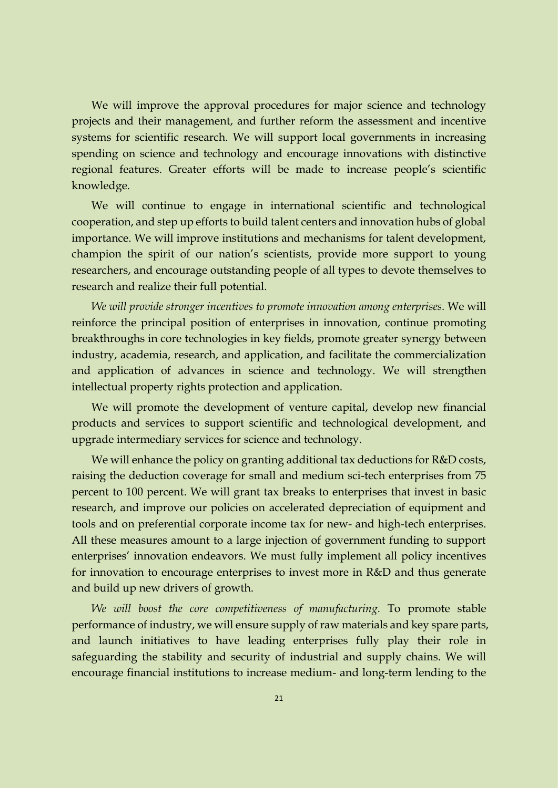We will improve the approval procedures for major science and technology projects and their management, and further reform the assessment and incentive systems for scientific research. We will support local governments in increasing spending on science and technology and encourage innovations with distinctive regional features. Greater efforts will be made to increase people's scientific knowledge.

We will continue to engage in international scientific and technological cooperation, and step up efforts to build talent centers and innovation hubs of global importance. We will improve institutions and mechanisms for talent development, champion the spirit of our nation's scientists, provide more support to young researchers, and encourage outstanding people of all types to devote themselves to research and realize their full potential.

*We will provide stronger incentives to promote innovation among enterprises.* We will reinforce the principal position of enterprises in innovation, continue promoting breakthroughs in core technologies in key fields, promote greater synergy between industry, academia, research, and application, and facilitate the commercialization and application of advances in science and technology. We will strengthen intellectual property rights protection and application.

We will promote the development of venture capital, develop new financial products and services to support scientific and technological development, and upgrade intermediary services for science and technology.

We will enhance the policy on granting additional tax deductions for R&D costs, raising the deduction coverage for small and medium sci-tech enterprises from 75 percent to 100 percent. We will grant tax breaks to enterprises that invest in basic research, and improve our policies on accelerated depreciation of equipment and tools and on preferential corporate income tax for new- and high-tech enterprises. All these measures amount to a large injection of government funding to support enterprises' innovation endeavors. We must fully implement all policy incentives for innovation to encourage enterprises to invest more in R&D and thus generate and build up new drivers of growth.

*We will boost the core competitiveness of manufacturing.* To promote stable performance of industry, we will ensure supply of raw materials and key spare parts, and launch initiatives to have leading enterprises fully play their role in safeguarding the stability and security of industrial and supply chains. We will encourage financial institutions to increase medium- and long-term lending to the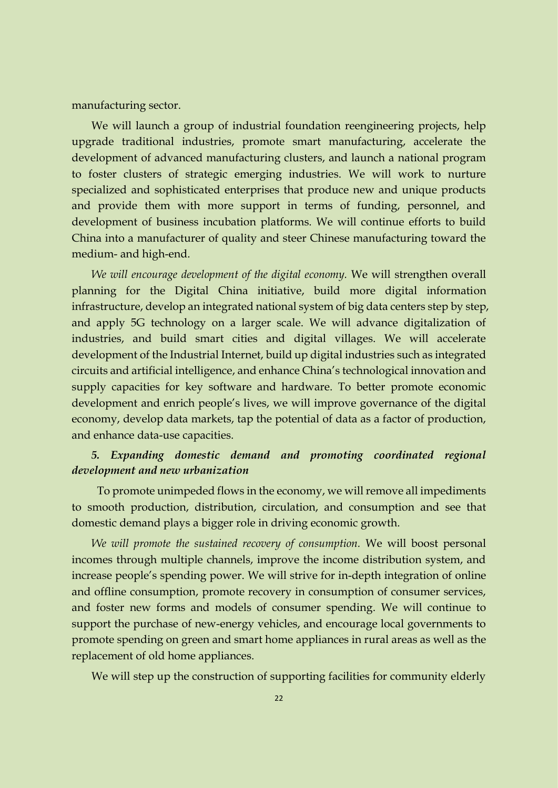manufacturing sector.

We will launch a group of industrial foundation reengineering projects, help upgrade traditional industries, promote smart manufacturing, accelerate the development of advanced manufacturing clusters, and launch a national program to foster clusters of strategic emerging industries. We will work to nurture specialized and sophisticated enterprises that produce new and unique products and provide them with more support in terms of funding, personnel, and development of business incubation platforms. We will continue efforts to build China into a manufacturer of quality and steer Chinese manufacturing toward the medium- and high-end.

*We will encourage development of the digital economy.* We will strengthen overall planning for the Digital China initiative, build more digital information infrastructure, develop an integrated national system of big data centers step by step, and apply 5G technology on a larger scale. We will advance digitalization of industries, and build smart cities and digital villages. We will accelerate development of the Industrial Internet, build up digital industries such as integrated circuits and artificial intelligence, and enhance China's technological innovation and supply capacities for key software and hardware. To better promote economic development and enrich people's lives, we will improve governance of the digital economy, develop data markets, tap the potential of data as a factor of production, and enhance data-use capacities.

# *5. Expanding domestic demand and promoting coordinated regional development and new urbanization*

To promote unimpeded flows in the economy, we will remove all impediments to smooth production, distribution, circulation, and consumption and see that domestic demand plays a bigger role in driving economic growth.

*We will promote the sustained recovery of consumption.* We will boost personal incomes through multiple channels, improve the income distribution system, and increase people's spending power. We will strive for in-depth integration of online and offline consumption, promote recovery in consumption of consumer services, and foster new forms and models of consumer spending. We will continue to support the purchase of new-energy vehicles, and encourage local governments to promote spending on green and smart home appliances in rural areas as well as the replacement of old home appliances.

We will step up the construction of supporting facilities for community elderly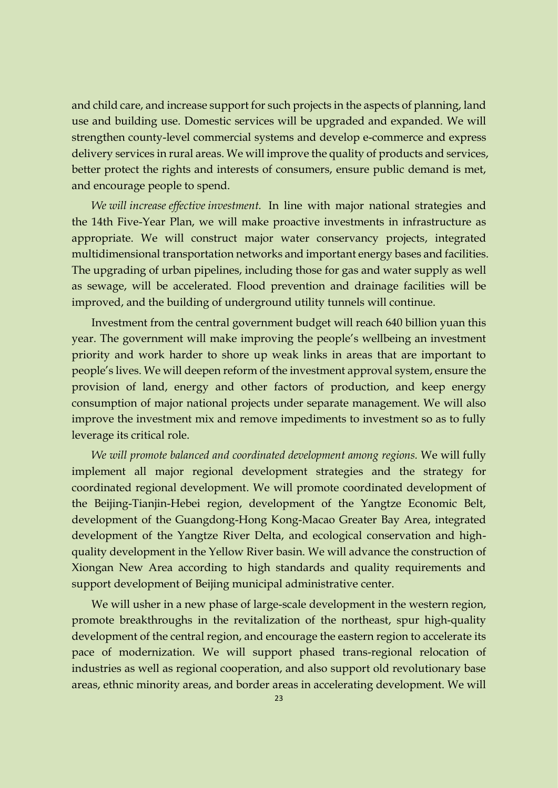and child care, and increase support for such projects in the aspects of planning, land use and building use. Domestic services will be upgraded and expanded. We will strengthen county-level commercial systems and develop e-commerce and express delivery services in rural areas. We will improve the quality of products and services, better protect the rights and interests of consumers, ensure public demand is met, and encourage people to spend.

*We will increase effective investment.* In line with major national strategies and the 14th Five-Year Plan, we will make proactive investments in infrastructure as appropriate. We will construct major water conservancy projects, integrated multidimensional transportation networks and important energy bases and facilities. The upgrading of urban pipelines, including those for gas and water supply as well as sewage, will be accelerated. Flood prevention and drainage facilities will be improved, and the building of underground utility tunnels will continue.

Investment from the central government budget will reach 640 billion yuan this year. The government will make improving the people's wellbeing an investment priority and work harder to shore up weak links in areas that are important to people's lives. We will deepen reform of the investment approval system, ensure the provision of land, energy and other factors of production, and keep energy consumption of major national projects under separate management. We will also improve the investment mix and remove impediments to investment so as to fully leverage its critical role.

*We will promote balanced and coordinated development among regions.* We will fully implement all major regional development strategies and the strategy for coordinated regional development. We will promote coordinated development of the Beijing-Tianjin-Hebei region, development of the Yangtze Economic Belt, development of the Guangdong-Hong Kong-Macao Greater Bay Area, integrated development of the Yangtze River Delta, and ecological conservation and highquality development in the Yellow River basin. We will advance the construction of Xiongan New Area according to high standards and quality requirements and support development of Beijing municipal administrative center.

We will usher in a new phase of large-scale development in the western region, promote breakthroughs in the revitalization of the northeast, spur high-quality development of the central region, and encourage the eastern region to accelerate its pace of modernization. We will support phased trans-regional relocation of industries as well as regional cooperation, and also support old revolutionary base areas, ethnic minority areas, and border areas in accelerating development. We will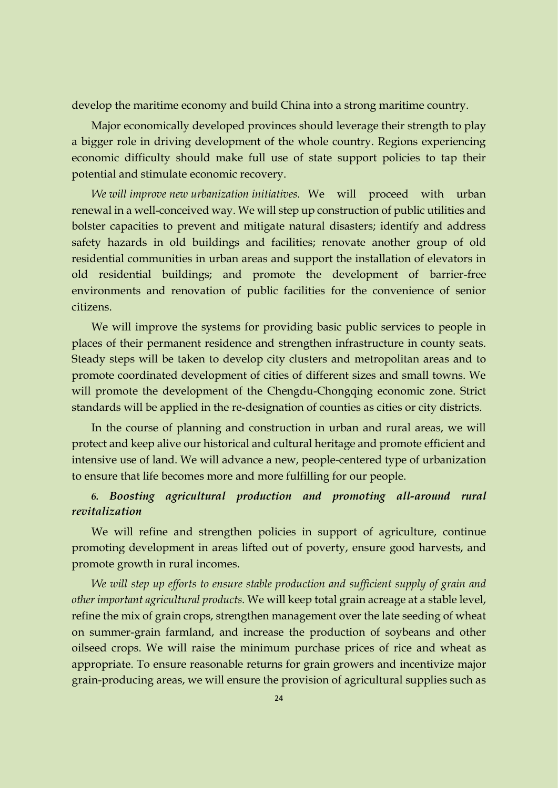develop the maritime economy and build China into a strong maritime country.

Major economically developed provinces should leverage their strength to play a bigger role in driving development of the whole country. Regions experiencing economic difficulty should make full use of state support policies to tap their potential and stimulate economic recovery.

*We will improve new urbanization initiatives.* We will proceed with urban renewal in a well-conceived way. We will step up construction of public utilities and bolster capacities to prevent and mitigate natural disasters; identify and address safety hazards in old buildings and facilities; renovate another group of old residential communities in urban areas and support the installation of elevators in old residential buildings; and promote the development of barrier-free environments and renovation of public facilities for the convenience of senior citizens.

We will improve the systems for providing basic public services to people in places of their permanent residence and strengthen infrastructure in county seats. Steady steps will be taken to develop city clusters and metropolitan areas and to promote coordinated development of cities of different sizes and small towns. We will promote the development of the Chengdu-Chongqing economic zone. Strict standards will be applied in the re-designation of counties as cities or city districts.

In the course of planning and construction in urban and rural areas, we will protect and keep alive our historical and cultural heritage and promote efficient and intensive use of land. We will advance a new, people-centered type of urbanization to ensure that life becomes more and more fulfilling for our people.

## *6. Boosting agricultural production and promoting all-around rural revitalization*

We will refine and strengthen policies in support of agriculture, continue promoting development in areas lifted out of poverty, ensure good harvests, and promote growth in rural incomes.

*We will step up efforts to ensure stable production and sufficient supply of grain and other important agricultural products.* We will keep total grain acreage at a stable level, refine the mix of grain crops, strengthen management over the late seeding of wheat on summer-grain farmland, and increase the production of soybeans and other oilseed crops. We will raise the minimum purchase prices of rice and wheat as appropriate. To ensure reasonable returns for grain growers and incentivize major grain-producing areas, we will ensure the provision of agricultural supplies such as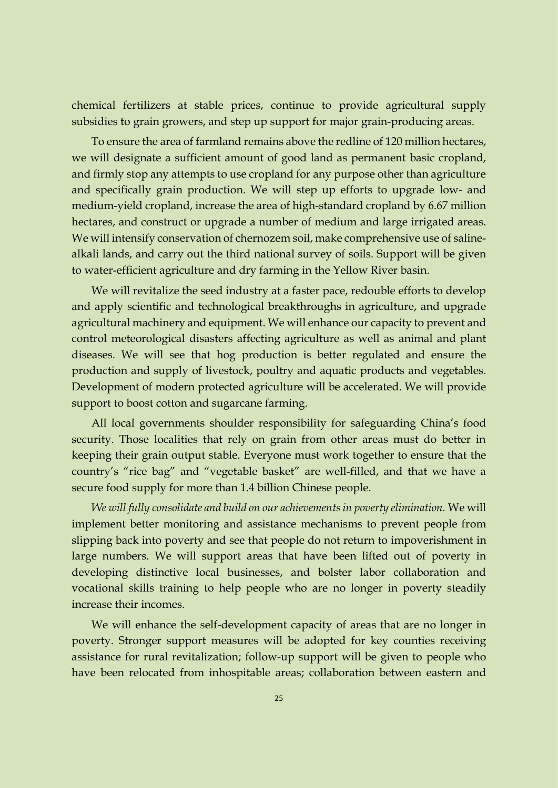chemical fertilizers at stable prices, continue to provide agricultural supply subsidies to grain growers, and step up support for major grain-producing areas.

To ensure the area of farmland remains above the redline of 120 million hectares, we will designate a sufficient amount of good land as permanent basic cropland, and firmly stop any attempts to use cropland for any purpose other than agriculture and specifically grain production. We will step up efforts to upgrade low- and medium-yield cropland, increase the area of high-standard cropland by 6.67 million hectares, and construct or upgrade a number of medium and large irrigated areas. We will intensify conservation of chernozem soil, make comprehensive use of salinealkali lands, and carry out the third national survey of soils. Support will be given to water-efficient agriculture and dry farming in the Yellow River basin.

We will revitalize the seed industry at a faster pace, redouble efforts to develop and apply scientific and technological breakthroughs in agriculture, and upgrade agricultural machinery and equipment. We will enhance our capacity to prevent and control meteorological disasters affecting agriculture as well as animal and plant diseases. We will see that hog production is better regulated and ensure the production and supply of livestock, poultry and aquatic products and vegetables. Development of modern protected agriculture will be accelerated. We will provide support to boost cotton and sugarcane farming.

All local governments shoulder responsibility for safeguarding China's food security. Those localities that rely on grain from other areas must do better in keeping their grain output stable. Everyone must work together to ensure that the country's "rice bag" and "vegetable basket" are well-filled, and that we have a secure food supply for more than 1.4 billion Chinese people.

*We will fully consolidate and build on our achievements in poverty elimination.* We will implement better monitoring and assistance mechanisms to prevent people from slipping back into poverty and see that people do not return to impoverishment in large numbers. We will support areas that have been lifted out of poverty in developing distinctive local businesses, and bolster labor collaboration and vocational skills training to help people who are no longer in poverty steadily increase their incomes.

We will enhance the self-development capacity of areas that are no longer in poverty. Stronger support measures will be adopted for key counties receiving assistance for rural revitalization; follow-up support will be given to people who have been relocated from inhospitable areas; collaboration between eastern and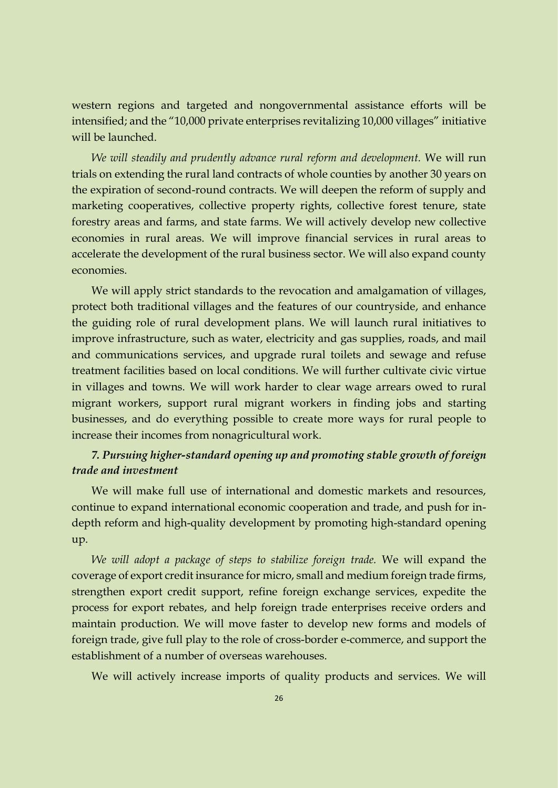western regions and targeted and nongovernmental assistance efforts will be intensified; and the "10,000 private enterprises revitalizing 10,000 villages" initiative will be launched.

*We will steadily and prudently advance rural reform and development.* We will run trials on extending the rural land contracts of whole counties by another 30 years on the expiration of second-round contracts. We will deepen the reform of supply and marketing cooperatives, collective property rights, collective forest tenure, state forestry areas and farms, and state farms. We will actively develop new collective economies in rural areas. We will improve financial services in rural areas to accelerate the development of the rural business sector. We will also expand county economies.

We will apply strict standards to the revocation and amalgamation of villages, protect both traditional villages and the features of our countryside, and enhance the guiding role of rural development plans. We will launch rural initiatives to improve infrastructure, such as water, electricity and gas supplies, roads, and mail and communications services, and upgrade rural toilets and sewage and refuse treatment facilities based on local conditions. We will further cultivate civic virtue in villages and towns. We will work harder to clear wage arrears owed to rural migrant workers, support rural migrant workers in finding jobs and starting businesses, and do everything possible to create more ways for rural people to increase their incomes from nonagricultural work.

## *7. Pursuing higher-standard opening up and promoting stable growth of foreign trade and investment*

We will make full use of international and domestic markets and resources, continue to expand international economic cooperation and trade, and push for indepth reform and high-quality development by promoting high-standard opening up.

*We will adopt a package of steps to stabilize foreign trade.* We will expand the coverage of export credit insurance for micro, small and medium foreign trade firms, strengthen export credit support, refine foreign exchange services, expedite the process for export rebates, and help foreign trade enterprises receive orders and maintain production. We will move faster to develop new forms and models of foreign trade, give full play to the role of cross-border e-commerce, and support the establishment of a number of overseas warehouses.

We will actively increase imports of quality products and services. We will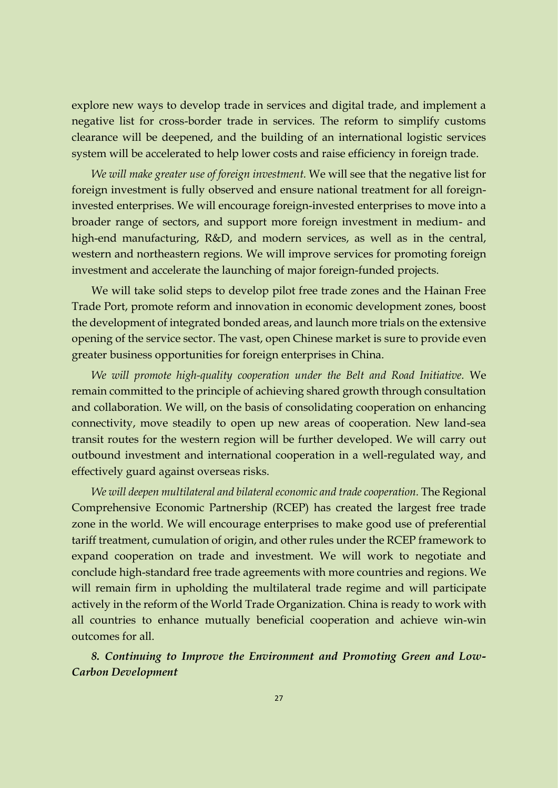explore new ways to develop trade in services and digital trade, and implement a negative list for cross-border trade in services. The reform to simplify customs clearance will be deepened, and the building of an international logistic services system will be accelerated to help lower costs and raise efficiency in foreign trade.

*We will make greater use of foreign investment.* We will see that the negative list for foreign investment is fully observed and ensure national treatment for all foreigninvested enterprises. We will encourage foreign-invested enterprises to move into a broader range of sectors, and support more foreign investment in medium- and high-end manufacturing, R&D, and modern services, as well as in the central, western and northeastern regions. We will improve services for promoting foreign investment and accelerate the launching of major foreign-funded projects.

We will take solid steps to develop pilot free trade zones and the Hainan Free Trade Port, promote reform and innovation in economic development zones, boost the development of integrated bonded areas, and launch more trials on the extensive opening of the service sector. The vast, open Chinese market is sure to provide even greater business opportunities for foreign enterprises in China.

*We will promote high-quality cooperation under the Belt and Road Initiative.* We remain committed to the principle of achieving shared growth through consultation and collaboration. We will, on the basis of consolidating cooperation on enhancing connectivity, move steadily to open up new areas of cooperation. New land-sea transit routes for the western region will be further developed. We will carry out outbound investment and international cooperation in a well-regulated way, and effectively guard against overseas risks.

*We will deepen multilateral and bilateral economic and trade cooperation.* The Regional Comprehensive Economic Partnership (RCEP) has created the largest free trade zone in the world. We will encourage enterprises to make good use of preferential tariff treatment, cumulation of origin, and other rules under the RCEP framework to expand cooperation on trade and investment. We will work to negotiate and conclude high-standard free trade agreements with more countries and regions. We will remain firm in upholding the multilateral trade regime and will participate actively in the reform of the World Trade Organization. China is ready to work with all countries to enhance mutually beneficial cooperation and achieve win-win outcomes for all.

*8. Continuing to Improve the Environment and Promoting Green and Low-Carbon Development*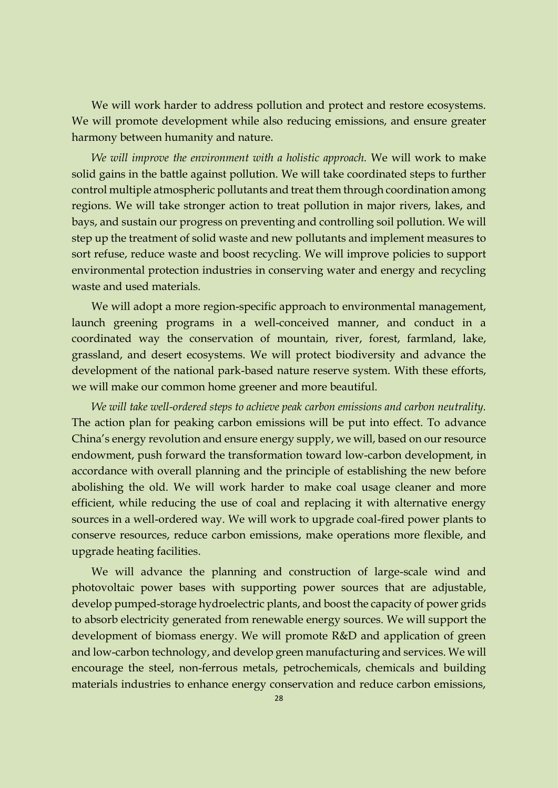We will work harder to address pollution and protect and restore ecosystems. We will promote development while also reducing emissions, and ensure greater harmony between humanity and nature.

*We will improve the environment with a holistic approach.* We will work to make solid gains in the battle against pollution. We will take coordinated steps to further control multiple atmospheric pollutants and treat them through coordination among regions. We will take stronger action to treat pollution in major rivers, lakes, and bays, and sustain our progress on preventing and controlling soil pollution. We will step up the treatment of solid waste and new pollutants and implement measures to sort refuse, reduce waste and boost recycling. We will improve policies to support environmental protection industries in conserving water and energy and recycling waste and used materials.

We will adopt a more region-specific approach to environmental management, launch greening programs in a well-conceived manner, and conduct in a coordinated way the conservation of mountain, river, forest, farmland, lake, grassland, and desert ecosystems. We will protect biodiversity and advance the development of the national park-based nature reserve system. With these efforts, we will make our common home greener and more beautiful.

*We will take well-ordered steps to achieve peak carbon emissions and carbon neutrality.* The action plan for peaking carbon emissions will be put into effect. To advance China's energy revolution and ensure energy supply, we will, based on our resource endowment, push forward the transformation toward low-carbon development, in accordance with overall planning and the principle of establishing the new before abolishing the old. We will work harder to make coal usage cleaner and more efficient, while reducing the use of coal and replacing it with alternative energy sources in a well-ordered way. We will work to upgrade coal-fired power plants to conserve resources, reduce carbon emissions, make operations more flexible, and upgrade heating facilities.

We will advance the planning and construction of large-scale wind and photovoltaic power bases with supporting power sources that are adjustable, develop pumped-storage hydroelectric plants, and boost the capacity of power grids to absorb electricity generated from renewable energy sources. We will support the development of biomass energy. We will promote R&D and application of green and low-carbon technology, and develop green manufacturing and services. We will encourage the steel, non-ferrous metals, petrochemicals, chemicals and building materials industries to enhance energy conservation and reduce carbon emissions,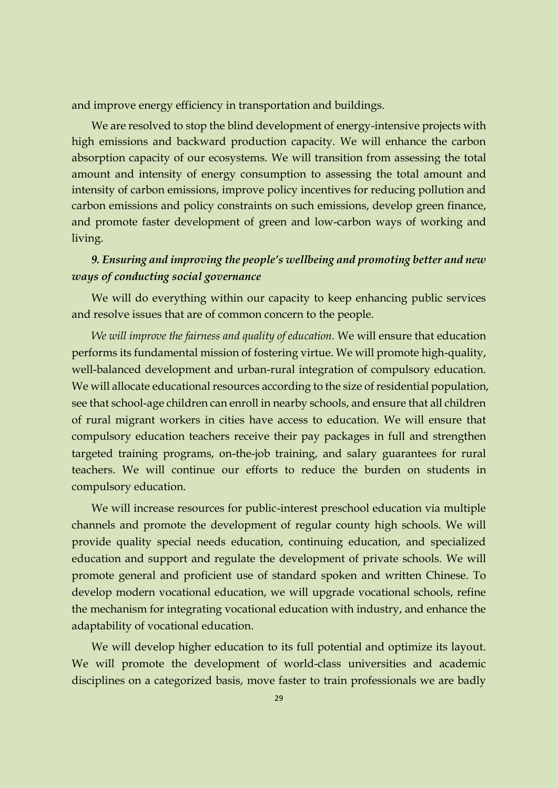and improve energy efficiency in transportation and buildings.

We are resolved to stop the blind development of energy-intensive projects with high emissions and backward production capacity. We will enhance the carbon absorption capacity of our ecosystems. We will transition from assessing the total amount and intensity of energy consumption to assessing the total amount and intensity of carbon emissions, improve policy incentives for reducing pollution and carbon emissions and policy constraints on such emissions, develop green finance, and promote faster development of green and low-carbon ways of working and living.

### *9. Ensuring and improving the people's wellbeing and promoting better and new ways of conducting social governance*

We will do everything within our capacity to keep enhancing public services and resolve issues that are of common concern to the people.

*We will improve the fairness and quality of education.* We will ensure that education performs its fundamental mission of fostering virtue. We will promote high-quality, well-balanced development and urban-rural integration of compulsory education. We will allocate educational resources according to the size of residential population, see that school-age children can enroll in nearby schools, and ensure that all children of rural migrant workers in cities have access to education. We will ensure that compulsory education teachers receive their pay packages in full and strengthen targeted training programs, on-the-job training, and salary guarantees for rural teachers. We will continue our efforts to reduce the burden on students in compulsory education.

We will increase resources for public-interest preschool education via multiple channels and promote the development of regular county high schools. We will provide quality special needs education, continuing education, and specialized education and support and regulate the development of private schools. We will promote general and proficient use of standard spoken and written Chinese. To develop modern vocational education, we will upgrade vocational schools, refine the mechanism for integrating vocational education with industry, and enhance the adaptability of vocational education.

We will develop higher education to its full potential and optimize its layout. We will promote the development of world-class universities and academic disciplines on a categorized basis, move faster to train professionals we are badly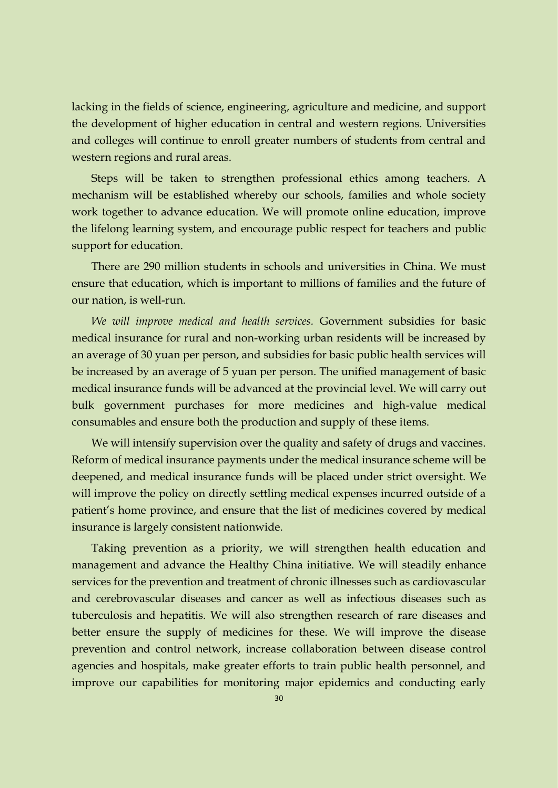lacking in the fields of science, engineering, agriculture and medicine, and support the development of higher education in central and western regions. Universities and colleges will continue to enroll greater numbers of students from central and western regions and rural areas.

Steps will be taken to strengthen professional ethics among teachers. A mechanism will be established whereby our schools, families and whole society work together to advance education. We will promote online education, improve the lifelong learning system, and encourage public respect for teachers and public support for education.

There are 290 million students in schools and universities in China. We must ensure that education, which is important to millions of families and the future of our nation, is well-run.

*We will improve medical and health services.* Government subsidies for basic medical insurance for rural and non-working urban residents will be increased by an average of 30 yuan per person, and subsidies for basic public health services will be increased by an average of 5 yuan per person. The unified management of basic medical insurance funds will be advanced at the provincial level. We will carry out bulk government purchases for more medicines and high-value medical consumables and ensure both the production and supply of these items.

We will intensify supervision over the quality and safety of drugs and vaccines. Reform of medical insurance payments under the medical insurance scheme will be deepened, and medical insurance funds will be placed under strict oversight. We will improve the policy on directly settling medical expenses incurred outside of a patient's home province, and ensure that the list of medicines covered by medical insurance is largely consistent nationwide.

Taking prevention as a priority, we will strengthen health education and management and advance the Healthy China initiative. We will steadily enhance services for the prevention and treatment of chronic illnesses such as cardiovascular and cerebrovascular diseases and cancer as well as infectious diseases such as tuberculosis and hepatitis. We will also strengthen research of rare diseases and better ensure the supply of medicines for these. We will improve the disease prevention and control network, increase collaboration between disease control agencies and hospitals, make greater efforts to train public health personnel, and improve our capabilities for monitoring major epidemics and conducting early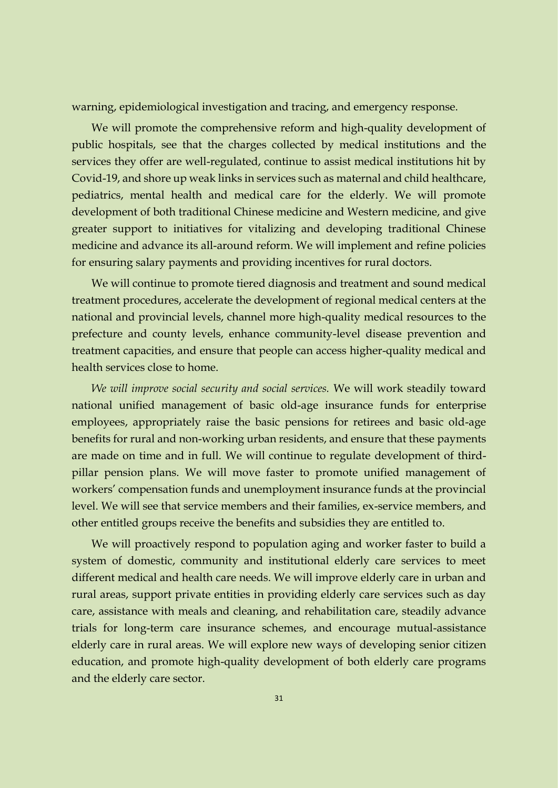warning, epidemiological investigation and tracing, and emergency response.

We will promote the comprehensive reform and high-quality development of public hospitals, see that the charges collected by medical institutions and the services they offer are well-regulated, continue to assist medical institutions hit by Covid-19, and shore up weak links in services such as maternal and child healthcare, pediatrics, mental health and medical care for the elderly. We will promote development of both traditional Chinese medicine and Western medicine, and give greater support to initiatives for vitalizing and developing traditional Chinese medicine and advance its all-around reform. We will implement and refine policies for ensuring salary payments and providing incentives for rural doctors.

We will continue to promote tiered diagnosis and treatment and sound medical treatment procedures, accelerate the development of regional medical centers at the national and provincial levels, channel more high-quality medical resources to the prefecture and county levels, enhance community-level disease prevention and treatment capacities, and ensure that people can access higher-quality medical and health services close to home.

*We will improve social security and social services.* We will work steadily toward national unified management of basic old-age insurance funds for enterprise employees, appropriately raise the basic pensions for retirees and basic old-age benefits for rural and non-working urban residents, and ensure that these payments are made on time and in full. We will continue to regulate development of thirdpillar pension plans. We will move faster to promote unified management of workers' compensation funds and unemployment insurance funds at the provincial level. We will see that service members and their families, ex-service members, and other entitled groups receive the benefits and subsidies they are entitled to.

We will proactively respond to population aging and worker faster to build a system of domestic, community and institutional elderly care services to meet different medical and health care needs. We will improve elderly care in urban and rural areas, support private entities in providing elderly care services such as day care, assistance with meals and cleaning, and rehabilitation care, steadily advance trials for long-term care insurance schemes, and encourage mutual-assistance elderly care in rural areas. We will explore new ways of developing senior citizen education, and promote high-quality development of both elderly care programs and the elderly care sector.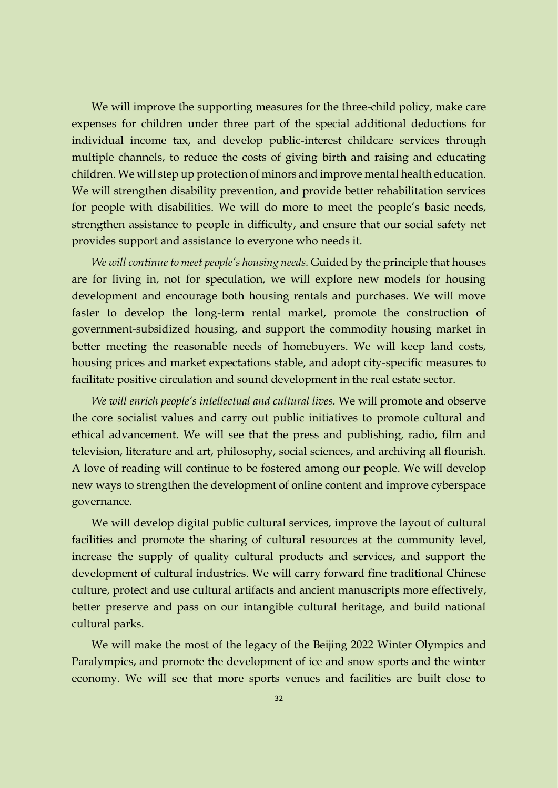We will improve the supporting measures for the three-child policy, make care expenses for children under three part of the special additional deductions for individual income tax, and develop public-interest childcare services through multiple channels, to reduce the costs of giving birth and raising and educating children. We will step up protection of minors and improve mental health education. We will strengthen disability prevention, and provide better rehabilitation services for people with disabilities. We will do more to meet the people's basic needs, strengthen assistance to people in difficulty, and ensure that our social safety net provides support and assistance to everyone who needs it.

*We will continue to meet people's housing needs.* Guided by the principle that houses are for living in, not for speculation, we will explore new models for housing development and encourage both housing rentals and purchases. We will move faster to develop the long-term rental market, promote the construction of government-subsidized housing, and support the commodity housing market in better meeting the reasonable needs of homebuyers. We will keep land costs, housing prices and market expectations stable, and adopt city-specific measures to facilitate positive circulation and sound development in the real estate sector.

*We will enrich people's intellectual and cultural lives.* We will promote and observe the core socialist values and carry out public initiatives to promote cultural and ethical advancement. We will see that the press and publishing, radio, film and television, literature and art, philosophy, social sciences, and archiving all flourish. A love of reading will continue to be fostered among our people. We will develop new ways to strengthen the development of online content and improve cyberspace governance.

We will develop digital public cultural services, improve the layout of cultural facilities and promote the sharing of cultural resources at the community level, increase the supply of quality cultural products and services, and support the development of cultural industries. We will carry forward fine traditional Chinese culture, protect and use cultural artifacts and ancient manuscripts more effectively, better preserve and pass on our intangible cultural heritage, and build national cultural parks.

We will make the most of the legacy of the Beijing 2022 Winter Olympics and Paralympics, and promote the development of ice and snow sports and the winter economy. We will see that more sports venues and facilities are built close to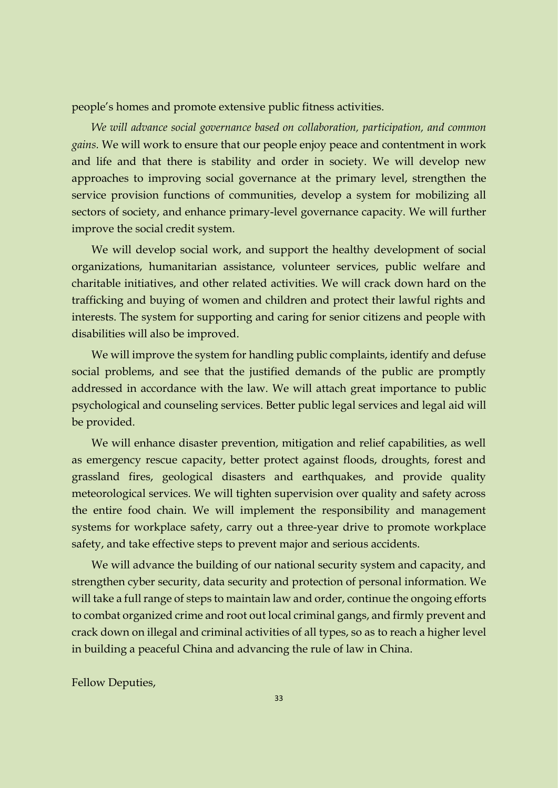people's homes and promote extensive public fitness activities.

*We will advance social governance based on collaboration, participation, and common gains.* We will work to ensure that our people enjoy peace and contentment in work and life and that there is stability and order in society. We will develop new approaches to improving social governance at the primary level, strengthen the service provision functions of communities, develop a system for mobilizing all sectors of society, and enhance primary-level governance capacity. We will further improve the social credit system.

We will develop social work, and support the healthy development of social organizations, humanitarian assistance, volunteer services, public welfare and charitable initiatives, and other related activities. We will crack down hard on the trafficking and buying of women and children and protect their lawful rights and interests. The system for supporting and caring for senior citizens and people with disabilities will also be improved.

We will improve the system for handling public complaints, identify and defuse social problems, and see that the justified demands of the public are promptly addressed in accordance with the law. We will attach great importance to public psychological and counseling services. Better public legal services and legal aid will be provided.

We will enhance disaster prevention, mitigation and relief capabilities, as well as emergency rescue capacity, better protect against floods, droughts, forest and grassland fires, geological disasters and earthquakes, and provide quality meteorological services. We will tighten supervision over quality and safety across the entire food chain. We will implement the responsibility and management systems for workplace safety, carry out a three-year drive to promote workplace safety, and take effective steps to prevent major and serious accidents.

We will advance the building of our national security system and capacity, and strengthen cyber security, data security and protection of personal information. We will take a full range of steps to maintain law and order, continue the ongoing efforts to combat organized crime and root out local criminal gangs, and firmly prevent and crack down on illegal and criminal activities of all types, so as to reach a higher level in building a peaceful China and advancing the rule of law in China.

Fellow Deputies,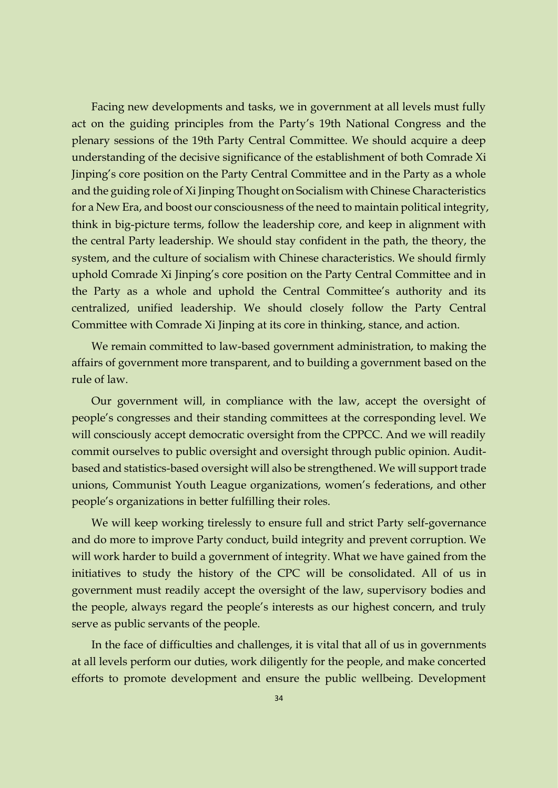Facing new developments and tasks, we in government at all levels must fully act on the guiding principles from the Party's 19th National Congress and the plenary sessions of the 19th Party Central Committee. We should acquire a deep understanding of the decisive significance of the establishment of both Comrade Xi Jinping's core position on the Party Central Committee and in the Party as a whole and the guiding role of Xi Jinping Thought on Socialism with Chinese Characteristics for a New Era, and boost our consciousness of the need to maintain political integrity, think in big-picture terms, follow the leadership core, and keep in alignment with the central Party leadership. We should stay confident in the path, the theory, the system, and the culture of socialism with Chinese characteristics. We should firmly uphold Comrade Xi Jinping's core position on the Party Central Committee and in the Party as a whole and uphold the Central Committee's authority and its centralized, unified leadership. We should closely follow the Party Central Committee with Comrade Xi Jinping at its core in thinking, stance, and action.

We remain committed to law-based government administration, to making the affairs of government more transparent, and to building a government based on the rule of law.

Our government will, in compliance with the law, accept the oversight of people's congresses and their standing committees at the corresponding level. We will consciously accept democratic oversight from the CPPCC. And we will readily commit ourselves to public oversight and oversight through public opinion. Auditbased and statistics-based oversight will also be strengthened. We will support trade unions, Communist Youth League organizations, women's federations, and other people's organizations in better fulfilling their roles.

We will keep working tirelessly to ensure full and strict Party self-governance and do more to improve Party conduct, build integrity and prevent corruption. We will work harder to build a government of integrity. What we have gained from the initiatives to study the history of the CPC will be consolidated. All of us in government must readily accept the oversight of the law, supervisory bodies and the people, always regard the people's interests as our highest concern, and truly serve as public servants of the people.

In the face of difficulties and challenges, it is vital that all of us in governments at all levels perform our duties, work diligently for the people, and make concerted efforts to promote development and ensure the public wellbeing. Development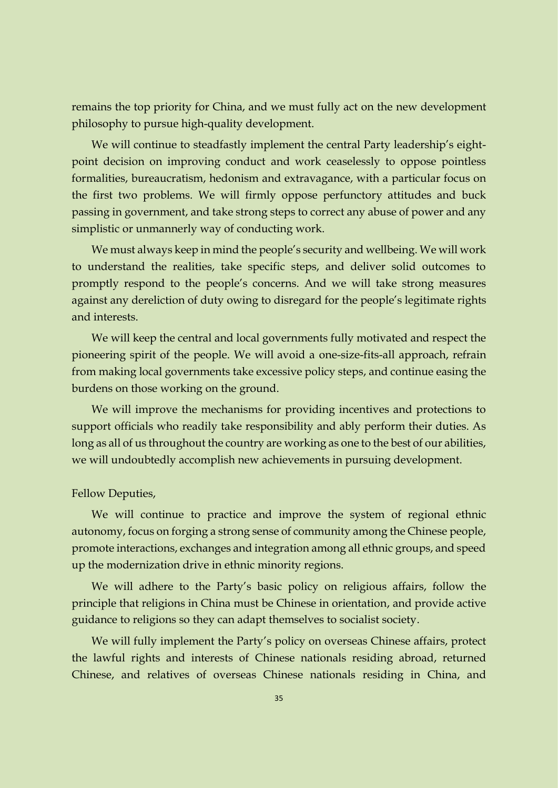remains the top priority for China, and we must fully act on the new development philosophy to pursue high-quality development.

We will continue to steadfastly implement the central Party leadership's eightpoint decision on improving conduct and work ceaselessly to oppose pointless formalities, bureaucratism, hedonism and extravagance, with a particular focus on the first two problems. We will firmly oppose perfunctory attitudes and buck passing in government, and take strong steps to correct any abuse of power and any simplistic or unmannerly way of conducting work.

We must always keep in mind the people's security and wellbeing. We will work to understand the realities, take specific steps, and deliver solid outcomes to promptly respond to the people's concerns. And we will take strong measures against any dereliction of duty owing to disregard for the people's legitimate rights and interests.

We will keep the central and local governments fully motivated and respect the pioneering spirit of the people. We will avoid a one-size-fits-all approach, refrain from making local governments take excessive policy steps, and continue easing the burdens on those working on the ground.

We will improve the mechanisms for providing incentives and protections to support officials who readily take responsibility and ably perform their duties. As long as all of us throughout the country are working as one to the best of our abilities, we will undoubtedly accomplish new achievements in pursuing development.

#### Fellow Deputies,

We will continue to practice and improve the system of regional ethnic autonomy, focus on forging a strong sense of community among the Chinese people, promote interactions, exchanges and integration among all ethnic groups, and speed up the modernization drive in ethnic minority regions.

We will adhere to the Party's basic policy on religious affairs, follow the principle that religions in China must be Chinese in orientation, and provide active guidance to religions so they can adapt themselves to socialist society.

We will fully implement the Party's policy on overseas Chinese affairs, protect the lawful rights and interests of Chinese nationals residing abroad, returned Chinese, and relatives of overseas Chinese nationals residing in China, and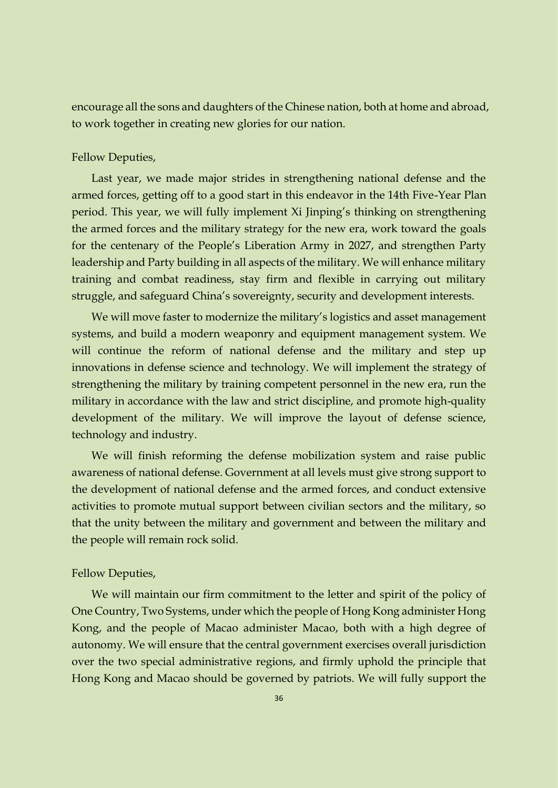encourage all the sons and daughters of the Chinese nation, both at home and abroad, to work together in creating new glories for our nation.

#### Fellow Deputies,

Last year, we made major strides in strengthening national defense and the armed forces, getting off to a good start in this endeavor in the 14th Five-Year Plan period. This year, we will fully implement Xi Jinping's thinking on strengthening the armed forces and the military strategy for the new era, work toward the goals for the centenary of the People's Liberation Army in 2027, and strengthen Party leadership and Party building in all aspects of the military. We will enhance military training and combat readiness, stay firm and flexible in carrying out military struggle, and safeguard China's sovereignty, security and development interests.

We will move faster to modernize the military's logistics and asset management systems, and build a modern weaponry and equipment management system. We will continue the reform of national defense and the military and step up innovations in defense science and technology. We will implement the strategy of strengthening the military by training competent personnel in the new era, run the military in accordance with the law and strict discipline, and promote high-quality development of the military. We will improve the layout of defense science, technology and industry.

We will finish reforming the defense mobilization system and raise public awareness of national defense. Government at all levels must give strong support to the development of national defense and the armed forces, and conduct extensive activities to promote mutual support between civilian sectors and the military, so that the unity between the military and government and between the military and the people will remain rock solid.

#### Fellow Deputies,

We will maintain our firm commitment to the letter and spirit of the policy of One Country, Two Systems, under which the people of Hong Kong administer Hong Kong, and the people of Macao administer Macao, both with a high degree of autonomy. We will ensure that the central government exercises overall jurisdiction over the two special administrative regions, and firmly uphold the principle that Hong Kong and Macao should be governed by patriots. We will fully support the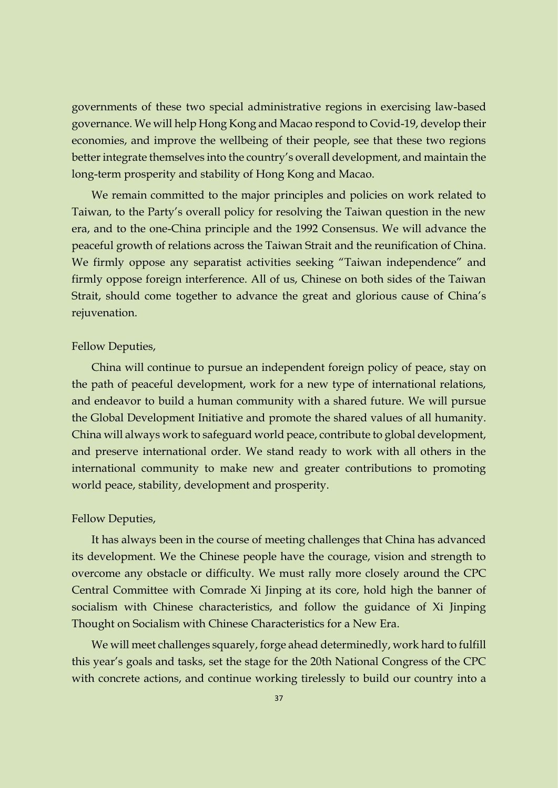governments of these two special administrative regions in exercising law-based governance. We will help Hong Kong and Macao respond to Covid-19, develop their economies, and improve the wellbeing of their people, see that these two regions better integrate themselves into the country's overall development, and maintain the long-term prosperity and stability of Hong Kong and Macao.

We remain committed to the major principles and policies on work related to Taiwan, to the Party's overall policy for resolving the Taiwan question in the new era, and to the one-China principle and the 1992 Consensus. We will advance the peaceful growth of relations across the Taiwan Strait and the reunification of China. We firmly oppose any separatist activities seeking "Taiwan independence" and firmly oppose foreign interference. All of us, Chinese on both sides of the Taiwan Strait, should come together to advance the great and glorious cause of China's rejuvenation.

#### Fellow Deputies,

China will continue to pursue an independent foreign policy of peace, stay on the path of peaceful development, work for a new type of international relations, and endeavor to build a human community with a shared future. We will pursue the Global Development Initiative and promote the shared values of all humanity. China will always work to safeguard world peace, contribute to global development, and preserve international order. We stand ready to work with all others in the international community to make new and greater contributions to promoting world peace, stability, development and prosperity.

#### Fellow Deputies,

It has always been in the course of meeting challenges that China has advanced its development. We the Chinese people have the courage, vision and strength to overcome any obstacle or difficulty. We must rally more closely around the CPC Central Committee with Comrade Xi Jinping at its core, hold high the banner of socialism with Chinese characteristics, and follow the guidance of Xi Jinping Thought on Socialism with Chinese Characteristics for a New Era.

We will meet challenges squarely, forge ahead determinedly, work hard to fulfill this year's goals and tasks, set the stage for the 20th National Congress of the CPC with concrete actions, and continue working tirelessly to build our country into a